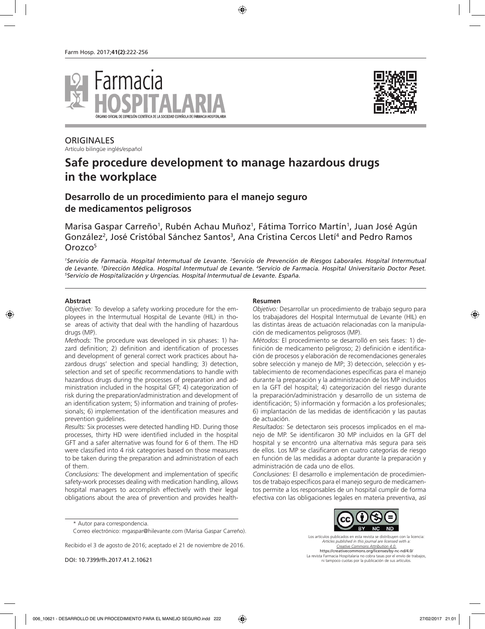



**ORIGINALES** Artículo bilingüe inglés/español

# **Safe procedure development to manage hazardous drugs in the workplace**

# **Desarrollo de un procedimiento para el manejo seguro de medicamentos peligrosos**

Marisa Gaspar Carreño<sup>1</sup>, Rubén Achau Muñoz<sup>1</sup>, Fátima Torrico Martín<sup>1</sup>, Juan José Agún González<sup>2</sup>, José Cristóbal Sánchez Santos<sup>3</sup>, Ana Cristina Cercos Lletí<sup>4</sup> and Pedro Ramos Orozco<sup>5</sup>

<sup>1</sup>Servicio de Farmacia. Hospital Intermutual de Levante. <sup>2</sup>Servicio de Prevención de Riesgos Laborales. Hospital Intermutual de Levante. <sup>3</sup>Dirección Médica. Hospital Intermutual de Levante. <sup>4</sup>Servicio de Farmacia. Hospital Universitario Doctor Peset.<br><sup>5</sup>Servicio de Hospitalización y Urgencias. Hospital Intermutual de Levante. España *Servicio de Hospitalización y Urgencias. Hospital Intermutual de Levante. España.*

#### **Abstract**

*Objective:* To develop a safety working procedure for the employees in the Intermutual Hospital de Levante (HIL) in those areas of activity that deal with the handling of hazardous drugs (MP).

*Methods:* The procedure was developed in six phases: 1) hazard definition; 2) definition and identification of processes and development of general correct work practices about hazardous drugs' selection and special handling; 3) detection, selection and set of specific recommendations to handle with hazardous drugs during the processes of preparation and administration included in the hospital GFT; 4) categorization of risk during the preparation/administration and development of an identification system; 5) information and training of professionals; 6) implementation of the identification measures and prevention guidelines.

*Results:* Six processes were detected handling HD. During those processes, thirty HD were identified included in the hospital GFT and a safer alternative was found for 6 of them. The HD were classified into 4 risk categories based on those measures to be taken during the preparation and administration of each of them.

*Conclusions:* The development and implementation of specific safety-work processes dealing with medication handling, allows hospital managers to accomplish effectively with their legal obligations about the area of prevention and provides health-

#### **Resumen**

*Objetivo:* Desarrollar un procedimiento de trabajo seguro para los trabajadores del Hospital Intermutual de Levante (HIL) en las distintas áreas de actuación relacionadas con la manipulación de medicamentos peligrosos (MP).

*Métodos:* El procedimiento se desarrolló en seis fases: 1) definición de medicamento peligroso; 2) definición e identificación de procesos y elaboración de recomendaciones generales sobre selección y manejo de MP; 3) detección, selección y establecimiento de recomendaciones específicas para el manejo durante la preparación y la administración de los MP incluidos en la GFT del hospital; 4) categorización del riesgo durante la preparación/administración y desarrollo de un sistema de identificación; 5) información y formación a los profesionales; 6) implantación de las medidas de identificación y las pautas de actuación.

*Resultados:* Se detectaron seis procesos implicados en el manejo de MP. Se identificaron 30 MP incluidos en la GFT del hospital y se encontró una alternativa más segura para seis de ellos. Los MP se clasificaron en cuatro categorías de riesgo en función de las medidas a adoptar durante la preparación y administración de cada uno de ellos.

*Conclusiones:* El desarrollo e implementación de procedimientos de trabajo específicos para el manejo seguro de medicamentos permite a los responsables de un hospital cumplir de forma efectiva con las obligaciones legales en materia preventiva, así

Recibido el 3 de agosto de 2016; aceptado el 21 de noviembre de 2016.



Los artículos publicados en esta revista se distribuyen con la licencia: *Articles published in this journal are licensed with a: Creative Commons Attribution 4.0.* https://creativecommons.org/licenses/by-nc-nd/4.0/ La revista Farmacia Hospitalaria no cobra tasas por el envío de trabajos, ni tampoco cuotas por la publicación de sus artículos.

<sup>\*</sup> Autor para correspondencia.

Correo electrónico: mgaspar@hilevante.com (Marisa Gaspar Carreño).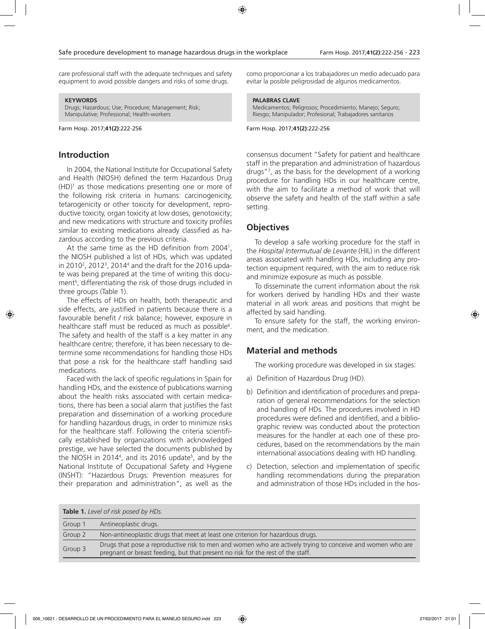care professional staff with the adequate techniques and safety equipment to avoid possible dangers and risks of some drugs.

#### **KEYWORDS**

Drugs; Hazardous; Use; Procedure; Management; Risk; Manipulative; Professional; Health-workers

Farm Hosp. 2017;**41(2)**:222-256

### **Introduction**

In 2004, the National Institute for Occupational Safety and Health (NIOSH) defined the term Hazardous Drug  $(HD)^1$  as those medications presenting one or more of the following risk criteria in humans: carcinogenicity, tetarogenicity or other toxicity for development, reproductive toxicity, organ toxicity at low doses, genotoxicity; and new medications with structure and toxicity profiles similar to existing medications already classified as hazardous according to the previous criteria.

At the same time as the HD definition from 20041 , the NIOSH published a list of HDs, which was updated in 2010<sup>2</sup>, 2012<sup>3</sup>, 2014<sup>4</sup> and the draft for the 2016 update was being prepared at the time of writing this document5 , differentiating the risk of those drugs included in three groups (Table 1).

The effects of HDs on health, both therapeutic and side effects, are justified in patients because there is a favourable benefit / risk balance; however, exposure in healthcare staff must be reduced as much as possible<sup>6</sup>. The safety and health of the staff is a key matter in any healthcare centre; therefore, it has been necessary to determine some recommendations for handling those HDs that pose a risk for the healthcare staff handling said medications.

Faced with the lack of specific regulations in Spain for handling HDs, and the existence of publications warning about the health risks associated with certain medications, there has been a social alarm that justifies the fast preparation and dissemination of a working procedure for handling hazardous drugs, in order to minimize risks for the healthcare staff. Following the criteria scientifically established by organizations with acknowledged prestige, we have selected the documents published by the NIOSH in 2014<sup>4</sup>, and its 2016 update<sup>5</sup>, and by the National Institute of Occupational Safety and Hygiene (INSHT): "Hazardous Drugs: Prevention measures for their preparation and administration", as well as the

como proporcionar a los trabajadores un medio adecuado para evitar la posible peligrosidad de algunos medicamentos.

#### **PALABRAS CLAVE**

Medicamentos; Peligrosos; Procedimiento; Manejo; Seguro; Riesgo; Manipulador; Profesional; Trabajadores sanitarios

Farm Hosp. 2017;**41(2)**:222-256

consensus document "Safety for patient and healthcare staff in the preparation and administration of hazardous drugs"7 , as the basis for the development of a working procedure for handling HDs in our healthcare centre, with the aim to facilitate a method of work that will observe the safety and health of the staff within a safe setting.

### **Objectives**

To develop a safe working procedure for the staff in the *Hospital Intermutual de Levante* (HIL) in the different areas associated with handling HDs, including any protection equipment required, with the aim to reduce risk and minimize exposure as much as possible.

To disseminate the current information about the risk for workers derived by handling HDs and their waste material in all work areas and positions that might be affected by said handling.

To ensure safety for the staff, the working environment, and the medication.

### **Material and methods**

The working procedure was developed in six stages:

- a) Definition of Hazardous Drug (HD).
- b) Definition and identification of procedures and preparation of general recommendations for the selection and handling of HDs. The procedures involved in HD procedures were defined and identified, and a bibliographic review was conducted about the protection measures for the handler at each one of these procedures, based on the recommendations by the main international associations dealing with HD handling.
- c) Detection, selection and implementation of specific handling recommendations during the preparation and administration of those HDs included in the hos-

|         | <b>Table 1.</b> Level of risk posed by HDs.                                                                                                                                                   |
|---------|-----------------------------------------------------------------------------------------------------------------------------------------------------------------------------------------------|
| Group 1 | Antineoplastic drugs.                                                                                                                                                                         |
| Group 2 | Non-antineoplastic drugs that meet at least one criterion for hazardous drugs.                                                                                                                |
| Group 3 | Drugs that pose a reproductive risk to men and women who are actively trying to conceive and women who are<br>pregnant or breast feeding, but that present no risk for the rest of the staff. |
|         |                                                                                                                                                                                               |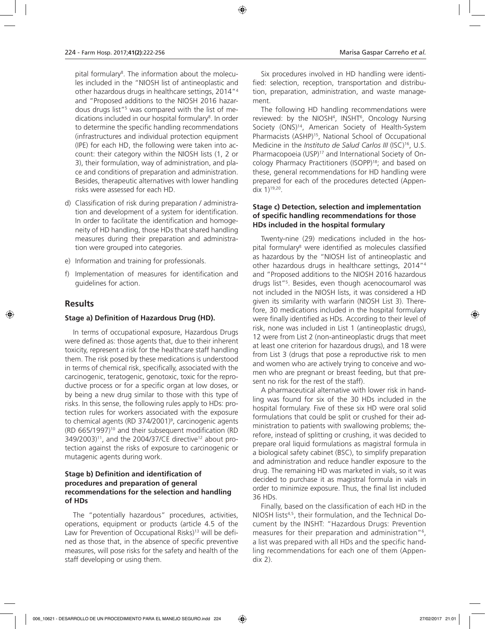pital formulary<sup>8</sup>. The information about the molecules included in the "NIOSH list of antineoplastic and other hazardous drugs in healthcare settings, 2014"4 and "Proposed additions to the NIOSH 2016 hazardous drugs list"<sup>5</sup> was compared with the list of medications included in our hospital formulary<sup>8</sup>. In order to determine the specific handling recommendations (infrastructures and individual protection equipment (IPE) for each HD, the following were taken into account: their category within the NIOSH lists (1, 2 or 3), their formulation, way of administration, and place and conditions of preparation and administration. Besides, therapeutic alternatives with lower handling risks were assessed for each HD.

- d) Classification of risk during preparation / administration and development of a system for identification. In order to facilitate the identification and homogeneity of HD handling, those HDs that shared handling measures during their preparation and administration were grouped into categories.
- e) Information and training for professionals.
- f) Implementation of measures for identification and guidelines for action.

### **Results**

### **Stage a) Definition of Hazardous Drug (HD).**

In terms of occupational exposure, Hazardous Drugs were defined as: those agents that, due to their inherent toxicity, represent a risk for the healthcare staff handling them. The risk posed by these medications is understood in terms of chemical risk, specifically, associated with the carcinogenic, teratogenic, genotoxic, toxic for the reproductive process or for a specific organ at low doses, or by being a new drug similar to those with this type of risks. In this sense, the following rules apply to HDs: protection rules for workers associated with the exposure to chemical agents (RD 374/2001)<sup>9</sup>, carcinogenic agents (RD 665/1997)10 and their subsequent modification (RD  $349/2003$ <sup>11</sup>, and the 2004/37/CE directive<sup>12</sup> about protection against the risks of exposure to carcinogenic or mutagenic agents during work.

### **Stage b) Definition and identification of procedures and preparation of general recommendations for the selection and handling of HDs**

The "potentially hazardous" procedures, activities, operations, equipment or products (article 4.5 of the Law for Prevention of Occupational Risks)<sup>13</sup> will be defined as those that, in the absence of specific preventive measures, will pose risks for the safety and health of the staff developing or using them.

Six procedures involved in HD handling were identified: selection, reception, transportation and distribution, preparation, administration, and waste management.

The following HD handling recommendations were reviewed: by the NIOSH<sup>4</sup>, INSHT<sup>6</sup>, Oncology Nursing Society (ONS)<sup>14</sup>, American Society of Health-System Pharmacists (ASHP)<sup>15</sup>, National School of Occupational Medicine in the *Instituto de Salud Carlos III* (ISC)<sup>16</sup>, U.S. Pharmacopoeia (USP)<sup>17</sup> and International Society of Oncology Pharmacy Practitioners (ISOPP)<sup>18</sup>; and based on these, general recommendations for HD handling were prepared for each of the procedures detected (Appendix  $1$ )<sup>19,20</sup>.

### **Stage c) Detection, selection and implementation of specific handling recommendations for those HDs included in the hospital formulary**

Twenty-nine (29) medications included in the hospital formulary8 were identified as molecules classified as hazardous by the "NIOSH list of antineoplastic and other hazardous drugs in healthcare settings, 2014"4 and "Proposed additions to the NIOSH 2016 hazardous drugs list"5 . Besides, even though acenocoumarol was not included in the NIOSH lists, it was considered a HD given its similarity with warfarin (NIOSH List 3). Therefore, 30 medications included in the hospital formulary were finally identified as HDs. According to their level of risk, none was included in List 1 (antineoplastic drugs), 12 were from List 2 (non-antineoplastic drugs that meet at least one criterion for hazardous drugs), and 18 were from List 3 (drugs that pose a reproductive risk to men and women who are actively trying to conceive and women who are pregnant or breast feeding, but that present no risk for the rest of the staff).

A pharmaceutical alternative with lower risk in handling was found for six of the 30 HDs included in the hospital formulary. Five of these six HD were oral solid formulations that could be split or crushed for their administration to patients with swallowing problems; therefore, instead of splitting or crushing, it was decided to prepare oral liquid formulations as magistral formula in a biological safety cabinet (BSC), to simplify preparation and administration and reduce handler exposure to the drug. The remaining HD was marketed in vials, so it was decided to purchase it as magistral formula in vials in order to minimize exposure. Thus, the final list included 36 HDs.

Finally, based on the classification of each HD in the NIOSH lists4,5, their formulation, and the Technical Document by the INSHT: "Hazardous Drugs: Prevention measures for their preparation and administration"<sup>6</sup>, a list was prepared with all HDs and the specific handling recommendations for each one of them (Appendix 2).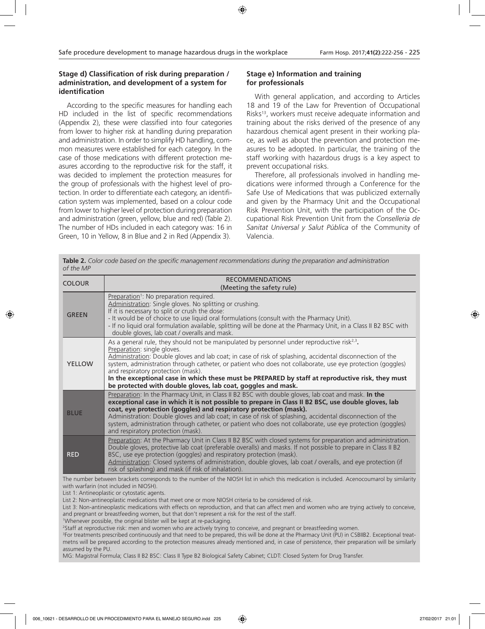### **Stage d) Classification of risk during preparation / administration, and development of a system for identification**

According to the specific measures for handling each HD included in the list of specific recommendations (Appendix 2), these were classified into four categories from lower to higher risk at handling during preparation and administration. In order to simplify HD handling, common measures were established for each category. In the case of those medications with different protection measures according to the reproductive risk for the staff, it was decided to implement the protection measures for the group of professionals with the highest level of protection. In order to differentiate each category, an identification system was implemented, based on a colour code from lower to higher level of protection during preparation and administration (green, yellow, blue and red) (Table 2). The number of HDs included in each category was: 16 in Green, 10 in Yellow, 8 in Blue and 2 in Red (Appendix 3).

### **Stage e) Information and training for professionals**

With general application, and according to Articles 18 and 19 of the Law for Prevention of Occupational Risks<sup>13</sup>, workers must receive adequate information and training about the risks derived of the presence of any hazardous chemical agent present in their working place, as well as about the prevention and protection measures to be adopted. In particular, the training of the staff working with hazardous drugs is a key aspect to prevent occupational risks.

Therefore, all professionals involved in handling medications were informed through a Conference for the Safe Use of Medications that was publicized externally and given by the Pharmacy Unit and the Occupational Risk Prevention Unit, with the participation of the Occupational Risk Prevention Unit from the *Conselleria de Sanitat Universal y Salut Pública* of the Community of Valencia.

**Table 2.** *Color code based on the specific management recommendations during the preparation and administration of the MP*

| <b>COLOUR</b> | <b>RECOMMENDATIONS</b><br>(Meeting the safety rule)                                                                                                                                                                                                                                                                                                                                                                                                                                                                                                                |
|---------------|--------------------------------------------------------------------------------------------------------------------------------------------------------------------------------------------------------------------------------------------------------------------------------------------------------------------------------------------------------------------------------------------------------------------------------------------------------------------------------------------------------------------------------------------------------------------|
| <b>GREEN</b>  | Preparation <sup>1</sup> : No preparation required.<br>Administration: Single gloves. No splitting or crushing.<br>If it is necessary to split or crush the dose:<br>- It would be of choice to use liquid oral formulations (consult with the Pharmacy Unit).<br>- If no liquid oral formulation available, splitting will be done at the Pharmacy Unit, in a Class II B2 BSC with<br>double gloves, lab coat / overalls and mask.                                                                                                                                |
| <b>YELLOW</b> | As a general rule, they should not be manipulated by personnel under reproductive risk $2.3$ .<br>Preparation: single gloves.<br>Administration: Double gloves and lab coat; in case of risk of splashing, accidental disconnection of the<br>system, administration through catheter, or patient who does not collaborate, use eye protection (goggles)<br>and respiratory protection (mask).<br>In the exceptional case in which these must be PREPARED by staff at reproductive risk, they must<br>be protected with double gloves, lab coat, goggles and mask. |
| <b>BLUE</b>   | Preparation: In the Pharmacy Unit, in Class II B2 BSC with double gloves, lab coat and mask. In the<br>exceptional case in which it is not possible to prepare in Class II B2 BSC, use double gloves, lab<br>coat, eye protection (goggles) and respiratory protection (mask).<br>Administration: Double gloves and lab coat; in case of risk of splashing, accidental disconnection of the<br>system, administration through catheter, or patient who does not collaborate, use eye protection (goggles)<br>and respiratory protection (mask).                    |
| <b>RED</b>    | Preparation: At the Pharmacy Unit in Class II B2 BSC with closed systems for preparation and administration.<br>Double gloves, protective lab coat (preferable overalls) and masks. If not possible to prepare in Class II B2<br>BSC, use eye protection (goggles) and respiratory protection (mask).<br>Administration: Closed systems of administration, double gloves, lab coat / overalls, and eye protection (if<br>risk of splashing) and mask (if risk of inhalation).                                                                                      |

The number between brackets corresponds to the number of the NIOSH list in which this medication is included. Acenocoumarol by similarity with warfarin (not included in NIOSH).

List 1: Antineoplastic or cytostatic agents.

List 2: Non-antineoplastic medications that meet one or more NIOSH criteria to be considered of risk.

List 3: Non-antineoplastic medications with effects on reproduction, and that can affect men and women who are trying actively to conceive, and pregnant or breastfeeding women, but that don't represent a risk for the rest of the staff.

1 Whenever possible, the original blister will be kept at re-packaging.

2 Staff at reproductive risk: men and women who are actively trying to conceive, and pregnant or breastfeeding women.

3 For treatments prescribed continuously and that need to be prepared, this will be done at the Pharmacy Unit (PU) in CSBIIB2. Exceptional treatmetns will be prepared according to the protection measures already mentioned and, in case of persistence, their preparation will be similarly assumed by the PU.

MG: Magistral Formula; Class II B2 BSC: Class II Type B2 Biological Safety Cabinet; CLDT: Closed System for Drug Transfer.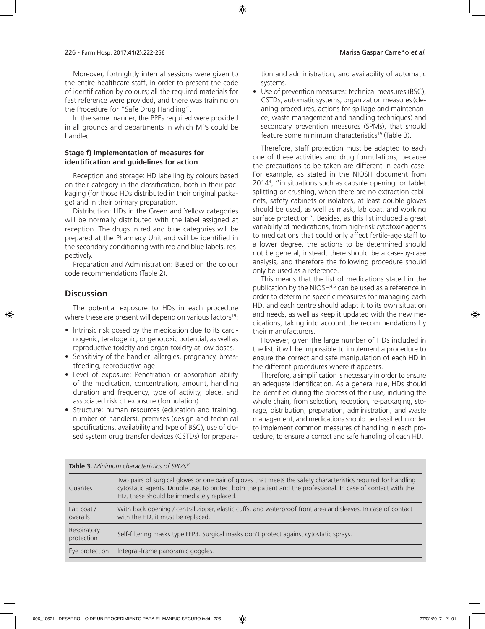Moreover, fortnightly internal sessions were given to the entire healthcare staff, in order to present the code of identification by colours; all the required materials for fast reference were provided, and there was training on the Procedure for "Safe Drug Handling".

In the same manner, the PPEs required were provided in all grounds and departments in which MPs could be handled.

### **Stage f) Implementation of measures for identification and guidelines for action**

Reception and storage: HD labelling by colours based on their category in the classification, both in their packaging (for those HDs distributed in their original package) and in their primary preparation.

Distribution: HDs in the Green and Yellow categories will be normally distributed with the label assigned at reception. The drugs in red and blue categories will be prepared at the Pharmacy Unit and will be identified in the secondary conditioning with red and blue labels, respectively.

Preparation and Administration: Based on the colour code recommendations (Table 2).

### **Discussion**

The potential exposure to HDs in each procedure where these are present will depend on various factors<sup>19</sup>:

- Intrinsic risk posed by the medication due to its carcinogenic, teratogenic, or genotoxic potential, as well as reproductive toxicity and organ toxicity at low doses.
- Sensitivity of the handler: allergies, pregnancy, breastfeeding, reproductive age.
- Level of exposure: Penetration or absorption ability of the medication, concentration, amount, handling duration and frequency, type of activity, place, and associated risk of exposure (formulation).
- Structure: human resources (education and training, number of handlers), premises (design and technical specifications, availability and type of BSC), use of closed system drug transfer devices (CSTDs) for prepara-

tion and administration, and availability of automatic systems.

• Use of prevention measures: technical measures (BSC), CSTDs, automatic systems, organization measures (cleaning procedures, actions for spillage and maintenance, waste management and handling techniques) and secondary prevention measures (SPMs), that should feature some minimum characteristics<sup>19</sup> (Table 3).

Therefore, staff protection must be adapted to each one of these activities and drug formulations, because the precautions to be taken are different in each case. For example, as stated in the NIOSH document from 20144 , "in situations such as capsule opening, or tablet splitting or crushing, when there are no extraction cabinets, safety cabinets or isolators, at least double gloves should be used, as well as mask, lab coat, and working surface protection". Besides, as this list included a great variability of medications, from high-risk cytotoxic agents to medications that could only affect fertile-age staff to a lower degree, the actions to be determined should not be general; instead, there should be a case-by-case analysis, and therefore the following procedure should only be used as a reference.

This means that the list of medications stated in the publication by the NIOSH<sup>4,5</sup> can be used as a reference in order to determine specific measures for managing each HD, and each centre should adapt it to its own situation and needs, as well as keep it updated with the new medications, taking into account the recommendations by their manufacturers.

However, given the large number of HDs included in the list, it will be impossible to implement a procedure to ensure the correct and safe manipulation of each HD in the different procedures where it appears.

Therefore, a simplification is necessary in order to ensure an adequate identification. As a general rule, HDs should be identified during the process of their use, including the whole chain, from selection, reception, re-packaging, storage, distribution, preparation, administration, and waste management; and medications should be classified in order to implement common measures of handling in each procedure, to ensure a correct and safe handling of each HD.

| Guantes                   | Two pairs of surgical gloves or one pair of gloves that meets the safety characteristics required for handling<br>cytostatic agents. Double use, to protect both the patient and the professional. In case of contact with the<br>HD, these should be immediately replaced. |
|---------------------------|-----------------------------------------------------------------------------------------------------------------------------------------------------------------------------------------------------------------------------------------------------------------------------|
| Lab coat /<br>overalls    | With back opening / central zipper, elastic cuffs, and waterproof front area and sleeves. In case of contact<br>with the HD, it must be replaced.                                                                                                                           |
| Respiratory<br>protection | Self-filtering masks type FFP3. Surgical masks don't protect against cytostatic sprays.                                                                                                                                                                                     |
| Eye protection            | Integral-frame panoramic goggles.                                                                                                                                                                                                                                           |

**Table 3.** *Minimum characteristics of SPMs19*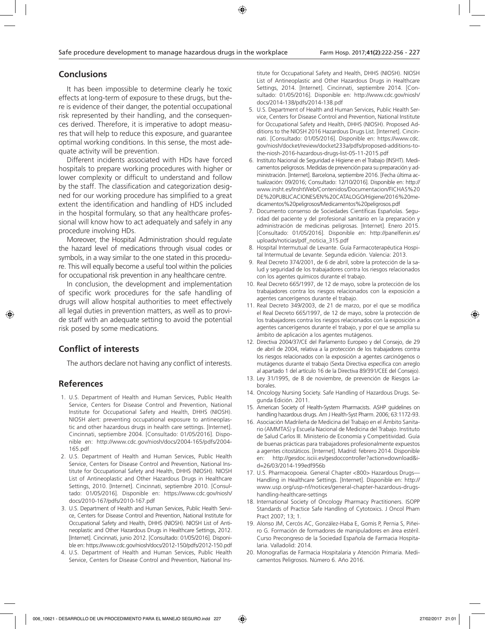# **Conclusions**

It has been impossible to determine clearly he toxic effects at long-term of exposure to these drugs, but there is evidence of their danger, the potential occupational risk represented by their handling, and the consequences derived. Therefore, it is imperative to adopt measures that will help to reduce this exposure, and guarantee optimal working conditions. In this sense, the most adequate activity will be prevention.

Different incidents associated with HDs have forced hospitals to prepare working procedures with higher or lower complexity or difficult to understand and follow by the staff. The classification and categorization designed for our working procedure has simplified to a great extent the identification and handling of HDS included in the hospital formulary, so that any healthcare professional will know how to act adequately and safely in any procedure involving HDs.

Moreover, the Hospital Administration should regulate the hazard level of medications through visual codes or symbols, in a way similar to the one stated in this procedure. This will equally become a useful tool within the policies for occupational risk prevention in any healthcare centre.

In conclusion, the development and implementation of specific work procedures for the safe handling of drugs will allow hospital authorities to meet effectively all legal duties in prevention matters, as well as to provide staff with an adequate setting to avoid the potential risk posed by some medications.

# **Conflict of interests**

The authors declare not having any conflict of interests.

### **References**

- 1. U.S. Department of Health and Human Services, Public Health Service, Centers for Disease Control and Prevention, National Institute for Occupational Safety and Health, DHHS (NIOSH). NIOSH alert: preventing occupational exposure to antineoplastic and other hazardous drugs in health care settings. [Internet]. Cincinnati, septiembre 2004. [Consultado: 01/05/2016]. Disponible en: http://www.cdc.gov/niosh/docs/2004-165/pdfs/2004- 165.pdf
- 2. U.S. Department of Health and Human Services, Public Health Service, Centers for Disease Control and Prevention, National Institute for Occupational Safety and Health, DHHS (NIOSH). NIOSH List of Antineoplastic and Other Hazardous Drugs in Healthcare Settings, 2010. [Internet]. Cincinnati, septiembre 2010. [Consultado: 01/05/2016]. Disponible en: https://www.cdc.gov/niosh/ docs/2010-167/pdfs/2010-167.pdf
- 3. U.S. Department of Health and Human Services, Public Health Service, Centers for Disease Control and Prevention, National Institute for Occupational Safety and Health, DHHS (NIOSH). NIOSH List of Antineoplastic and Other Hazardous Drugs in Healthcare Settings, 2012. [Internet]. Cincinnati, junio 2012. [Consultado: 01/05/2016]. Disponible en: https://www.cdc.gov/niosh/docs/2012-150/pdfs/2012-150.pdf
- 4. U.S. Department of Health and Human Services, Public Health Service, Centers for Disease Control and Prevention, National Ins-

titute for Occupational Safety and Health, DHHS (NIOSH). NIOSH List of Antineoplastic and Other Hazardous Drugs in Healthcare Settings, 2014. [Internet]. Cincinnati, septiembre 2014. [Consultado: 01/05/2016]. Disponible en: http://www.cdc.gov/niosh/ docs/2014-138/pdfs/2014-138.pdf

- 5. U.S. Department of Health and Human Services, Public Health Service, Centers for Disease Control and Prevention, National Institute for Occupational Safety and Health, DHHS (NIOSH). Proposed Additions to the NIOSH 2016 Hazardous Drugs List. [Internet]. Cincinnati. [Consultado: 01/05/2016]. Disponible en: https://www.cdc. gov/niosh/docket/review/docket233a/pdfs/proposed-additions-tothe-niosh-2016-hazardous-drugs-list-05-11-2015.pdf
- 6. Instituto Nacional de Seguridad e Higiene en el Trabajo (INSHT). Medicamentos peligrosos. Medidas de prevención para su preparación y administración. [Internet]. Barcelona, septiembre 2016. [Fecha última actualización: 09/2016; Consultado: 12/10/2016]. Disponible en: http:// www.insht.es/InshtWeb/Contenidos/Documentacion/FICHAS%20 DE%20PUBLICACIONES/EN%20CATALOGO/Higiene/2016%20medicamentos%20peligrosos/Medicamentos%20peligrosos.pdf
- 7. Documento consenso de Sociedades Científicas Españolas. Seguridad del paciente y del profesional sanitario en la preparación y administración de medicinas peligrosas. [Internet]. Enero 2015. [Consultado: 01/05/2016]. Disponible en: http://panelfenin.es/ uploads/noticias/pdf\_noticia\_315.pdf
- 8. Hospital Intermutual de Levante. Guía Farmacoterapéutica Hospital Intermutual de Levante. Segunda edición. Valencia: 2013.
- 9. Real Decreto 374/2001, de 6 de abril, sobre la protección de la salud y seguridad de los trabajadores contra los riesgos relacionados con los agentes químicos durante el trabajo.
- 10. Real Decreto 665/1997, de 12 de mayo, sobre la protección de los trabajadores contra los riesgos relacionados con la exposición a agentes cancerígenos durante el trabajo.
- 11. Real Decreto 349/2003, de 21 de marzo, por el que se modifica el Real Decreto 665/1997, de 12 de mayo, sobre la protección de los trabajadores contra los riesgos relacionados con la exposición a agentes cancerígenos durante el trabajo, y por el que se amplía su ámbito de aplicación a los agentes mutágenos.
- 12. Directiva 2004/37/CE del Parlamento Europeo y del Consejo, de 29 de abril de 2004, relativa a la protección de los trabajadores contra los riesgos relacionados con la exposición a agentes carcinógenos o mutágenos durante el trabajo (Sexta Directiva específica con arreglo al apartado 1 del artículo 16 de la Directiva 89/391/CEE del Consejo).
- 13. Ley 31/1995, de 8 de noviembre, de prevención de Riesgos Laborales.
- 14. Oncology Nursing Society. Safe Handling of Hazardous Drugs. Segunda Edición. 2011.
- 15. American Society of Health-System Pharmacists. ASHP guidelines on handling hazardous drugs. Am J Health-Syst Pharm. 2006; 63:1172-93.
- 16. Asociación Madrileña de Medicina del Trabajo en el Ámbito Sanitario (AMMTAS) y Escuela Nacional de Medicina del Trabajo. Instituto de Salud Carlos III. Ministerio de Economía y Competitividad. Guía de buenas prácticas para trabajadores profesionalmente expuestos a agentes citostáticos. [Internet]. Madrid: febrero 2014. Disponible en: http://gesdoc.isciii.es/gesdoccontroller?action=download&id=26/03/2014-199edf956b
- 17. U.S. Pharmacopoeia. General Chapter <800> Hazardous Drugs— Handling in Healthcare Settings. [Internet]. Disponible en: http:// www.usp.org/usp-nf/notices/general-chapter-hazardous-drugshandling-healthcare-settings
- 18. International Society of Oncology Pharmacy Practitioners. ISOPP Standards of Practice Safe Handling of Cytotoxics. J Oncol Pham Pract 2007; 13; 1.
- 19. Alonso JM, Cercós AC, González-Haba E, Gomis P, Pernia S, Piñeiro G. Formación de formadores de manipuladores en área estéril. Curso Precongreso de la Sociedad Española de Farmacia Hospitalaria. Valladolid: 2014.
- 20. Monografías de Farmacia Hospitalaria y Atención Primaria. Medicamentos Peligrosos. Número 6. Año 2016.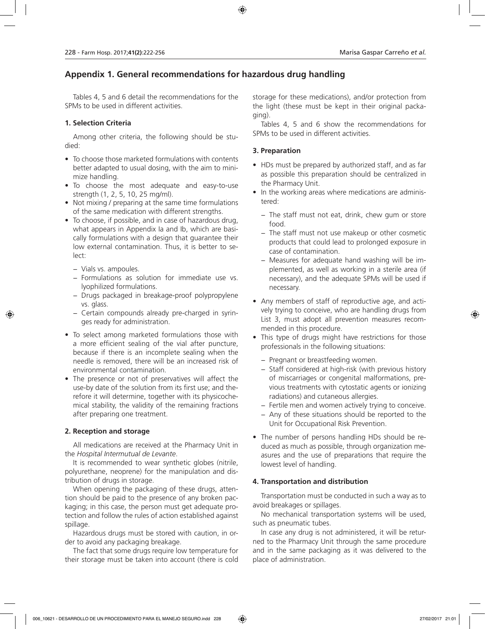# **Appendix 1. General recommendations for hazardous drug handling**

Tables 4, 5 and 6 detail the recommendations for the SPMs to be used in different activities.

### **1. Selection Criteria**

Among other criteria, the following should be studied:

- To choose those marketed formulations with contents better adapted to usual dosing, with the aim to minimize handling.
- To choose the most adequate and easy-to-use strength (1, 2, 5, 10, 25 mg/ml).
- Not mixing / preparing at the same time formulations of the same medication with different strengths.
- To choose, if possible, and in case of hazardous drug, what appears in Appendix Ia and Ib, which are basically formulations with a design that guarantee their low external contamination. Thus, it is better to select:
	- − Vials vs. ampoules.
	- − Formulations as solution for immediate use vs. lyophilized formulations.
	- − Drugs packaged in breakage-proof polypropylene vs. glass.
	- − Certain compounds already pre-charged in syringes ready for administration.
- To select among marketed formulations those with a more efficient sealing of the vial after puncture, because if there is an incomplete sealing when the needle is removed, there will be an increased risk of environmental contamination.
- The presence or not of preservatives will affect the use-by date of the solution from its first use; and therefore it will determine, together with its physicochemical stability, the validity of the remaining fractions after preparing one treatment.

### **2. Reception and storage**

All medications are received at the Pharmacy Unit in the *Hospital Intermutual de Levante*.

It is recommended to wear synthetic globes (nitrile, polyurethane, neoprene) for the manipulation and distribution of drugs in storage.

When opening the packaging of these drugs, attention should be paid to the presence of any broken packaging; in this case, the person must get adequate protection and follow the rules of action established against spillage.

Hazardous drugs must be stored with caution, in order to avoid any packaging breakage.

The fact that some drugs require low temperature for their storage must be taken into account (there is cold storage for these medications), and/or protection from the light (these must be kept in their original packaging).

Tables 4, 5 and 6 show the recommendations for SPMs to be used in different activities.

### **3. Preparation**

- HDs must be prepared by authorized staff, and as far as possible this preparation should be centralized in the Pharmacy Unit.
- In the working areas where medications are administered:
	- − The staff must not eat, drink, chew gum or store food.
	- − The staff must not use makeup or other cosmetic products that could lead to prolonged exposure in case of contamination.
	- − Measures for adequate hand washing will be implemented, as well as working in a sterile area (if necessary), and the adequate SPMs will be used if necessary.
- Any members of staff of reproductive age, and actively trying to conceive, who are handling drugs from List 3, must adopt all prevention measures recommended in this procedure.
- This type of drugs might have restrictions for those professionals in the following situations:
	- − Pregnant or breastfeeding women.
	- − Staff considered at high-risk (with previous history of miscarriages or congenital malformations, previous treatments with cytostatic agents or ionizing radiations) and cutaneous allergies.
	- − Fertile men and women actively trying to conceive.
	- − Any of these situations should be reported to the Unit for Occupational Risk Prevention.
- The number of persons handling HDs should be reduced as much as possible, through organization measures and the use of preparations that require the lowest level of handling.

### **4. Transportation and distribution**

Transportation must be conducted in such a way as to avoid breakages or spillages.

No mechanical transportation systems will be used, such as pneumatic tubes.

In case any drug is not administered, it will be returned to the Pharmacy Unit through the same procedure and in the same packaging as it was delivered to the place of administration.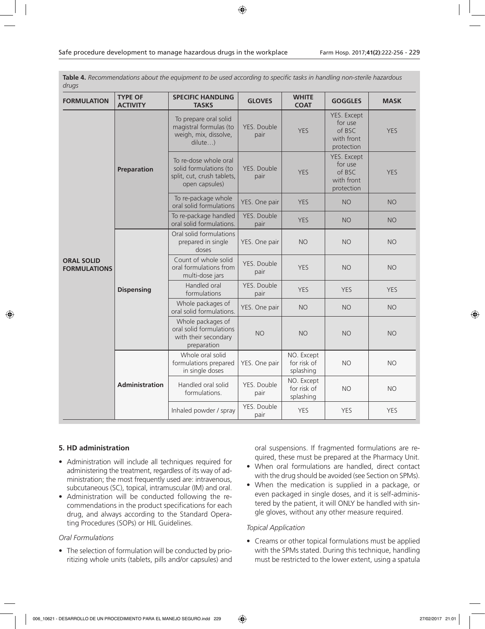| <b>FORMULATION</b>                       | <b>TYPE OF</b><br><b>ACTIVITY</b> | <b>SPECIFIC HANDLING</b><br><b>TASKS</b>                                                        | <b>GLOVES</b>       | <b>WHITE</b><br><b>COAT</b>                        | <b>GOGGLES</b>                                               | <b>MASK</b> |
|------------------------------------------|-----------------------------------|-------------------------------------------------------------------------------------------------|---------------------|----------------------------------------------------|--------------------------------------------------------------|-------------|
|                                          |                                   | To prepare oral solid<br>magistral formulas (to<br>weigh, mix, dissolve,<br>dilute)             |                     | <b>YES</b>                                         | YES. Except<br>for use<br>of BSC<br>with front<br>protection | <b>YES</b>  |
|                                          | Preparation                       | To re-dose whole oral<br>solid formulations (to<br>split, cut, crush tablets,<br>open capsules) | YES. Double<br>pair | <b>YES</b>                                         | YES. Except<br>for use<br>of BSC<br>with front<br>protection | <b>YES</b>  |
|                                          |                                   | To re-package whole<br>oral solid formulations                                                  | YES. One pair       | <b>YES</b><br><b>NO</b><br><b>YES</b><br><b>NO</b> | <b>NO</b>                                                    |             |
|                                          |                                   | To re-package handled<br>oral solid formulations.                                               | YES. Double<br>pair |                                                    |                                                              | <b>NO</b>   |
|                                          |                                   | Oral solid formulations<br>prepared in single<br>doses                                          | YES. One pair       | <b>NO</b>                                          | <b>NO</b>                                                    | <b>NO</b>   |
| <b>ORAL SOLID</b><br><b>FORMULATIONS</b> |                                   | Count of whole solid<br>oral formulations from<br>multi-dose jars                               | YES. Double<br>pair | <b>YES</b>                                         | <b>NO</b>                                                    | <b>NO</b>   |
|                                          | <b>Dispensing</b>                 | Handled oral<br>formulations                                                                    | YES. Double<br>pair | <b>YES</b>                                         | <b>YES</b>                                                   | <b>YES</b>  |
|                                          |                                   | Whole packages of<br>oral solid formulations.                                                   | YES. One pair       | <b>NO</b>                                          | <b>NO</b>                                                    | <b>NO</b>   |
|                                          |                                   | Whole packages of<br>oral solid formulations<br>with their secondary<br>preparation             | <b>NO</b>           | <b>NO</b>                                          | <b>NO</b>                                                    | <b>NO</b>   |
|                                          |                                   | Whole oral solid<br>formulations prepared<br>in single doses                                    | YES. One pair       | NO. Except<br>for risk of<br>splashing             | <b>NO</b>                                                    | <b>NO</b>   |
|                                          | <b>Administration</b>             | Handled oral solid<br>formulations.                                                             | YES. Double<br>pair | NO. Except<br>for risk of<br>splashing             | <b>NO</b>                                                    | <b>NO</b>   |
|                                          |                                   | Inhaled powder / spray                                                                          | YES. Double<br>pair | <b>YES</b>                                         | <b>YES</b>                                                   | <b>YES</b>  |

**Table 4.** *Recommendations about the equipment to be used according to specific tasks in handling non-sterile hazardous drugs*

### **5. HD administration**

- Administration will include all techniques required for administering the treatment, regardless of its way of administration; the most frequently used are: intravenous, subcutaneous (SC), topical, intramuscular (IM) and oral.
- Administration will be conducted following the recommendations in the product specifications for each drug, and always according to the Standard Operating Procedures (SOPs) or HIL Guidelines.

### *Oral Formulations*

• The selection of formulation will be conducted by prioritizing whole units (tablets, pills and/or capsules) and oral suspensions. If fragmented formulations are required, these must be prepared at the Pharmacy Unit.

- When oral formulations are handled, direct contact with the drug should be avoided (see Section on SPMs).
- When the medication is supplied in a package, or even packaged in single doses, and it is self-administered by the patient, it will ONLY be handled with single gloves, without any other measure required.

### *Topical Application*

• Creams or other topical formulations must be applied with the SPMs stated. During this technique, handling must be restricted to the lower extent, using a spatula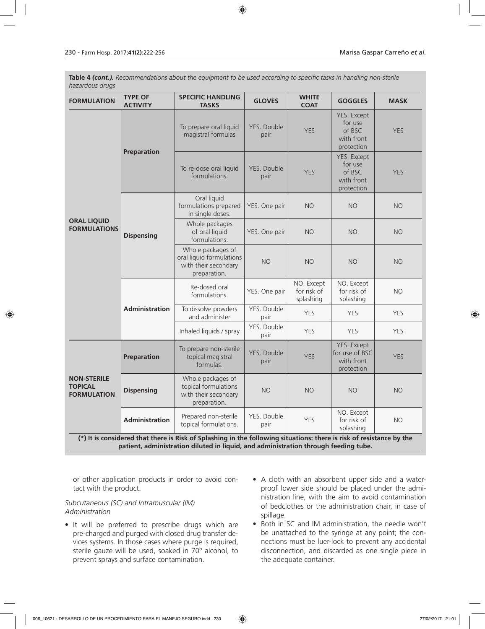**Table 4** *(cont.). Recommendations about the equipment to be used according to specific tasks in handling non-sterile hazardous drugs*

| <b>FORMULATION</b>                                         | <b>TYPE OF</b><br><b>ACTIVITY</b>                                                                                                                                                                           | <b>SPECIFIC HANDLING</b><br><b>TASKS</b>                                              | <b>GLOVES</b>                     | <b>WHITE</b><br><b>COAT</b>            | <b>GOGGLES</b>                                                             | <b>MASK</b> |  |  |
|------------------------------------------------------------|-------------------------------------------------------------------------------------------------------------------------------------------------------------------------------------------------------------|---------------------------------------------------------------------------------------|-----------------------------------|----------------------------------------|----------------------------------------------------------------------------|-------------|--|--|
|                                                            | Preparation                                                                                                                                                                                                 | To prepare oral liquid<br>magistral formulas                                          | YES. Double<br>pair               | <b>YES</b>                             | YES. Except<br>for use<br>of BSC<br>with front<br>protection               | <b>YES</b>  |  |  |
|                                                            |                                                                                                                                                                                                             | To re-dose oral liquid<br>formulations.                                               | YES. Double<br>pair               | <b>YES</b>                             | YES. Except<br>for use<br>of BSC<br><b>YES</b><br>with front<br>protection |             |  |  |
|                                                            |                                                                                                                                                                                                             | Oral liquid<br>formulations prepared<br>in single doses.                              | YES. One pair                     | <b>NO</b>                              | <b>NO</b>                                                                  | <b>NO</b>   |  |  |
| <b>ORAL LIQUID</b><br><b>FORMULATIONS</b>                  | <b>Dispensing</b>                                                                                                                                                                                           | Whole packages<br>of oral liquid<br>formulations.                                     | YES. One pair                     | <b>NO</b>                              | <b>NO</b>                                                                  | <b>NO</b>   |  |  |
|                                                            |                                                                                                                                                                                                             | Whole packages of<br>oral liquid formulations<br>with their secondary<br>preparation. | <b>NO</b>                         | <b>NO</b>                              | <b>NO</b>                                                                  | <b>NO</b>   |  |  |
|                                                            | <b>Administration</b>                                                                                                                                                                                       | Re-dosed oral<br>formulations.                                                        | YES. One pair                     | NO. Except<br>for risk of<br>splashing | NO. Except<br>for risk of<br>splashing                                     | <b>NO</b>   |  |  |
|                                                            |                                                                                                                                                                                                             | To dissolve powders<br>and administer                                                 | YES. Double<br>pair               | <b>YES</b>                             | <b>YES</b>                                                                 | <b>YES</b>  |  |  |
|                                                            |                                                                                                                                                                                                             | Inhaled liquids / spray                                                               | YES. Double<br>pair               | <b>YES</b>                             | <b>YES</b>                                                                 | <b>YES</b>  |  |  |
|                                                            | Preparation                                                                                                                                                                                                 | To prepare non-sterile<br>topical magistral<br>formulas.                              | YES. Double<br><b>YES</b><br>pair |                                        |                                                                            | <b>YES</b>  |  |  |
| <b>NON-STERILE</b><br><b>TOPICAL</b><br><b>FORMULATION</b> | <b>Dispensing</b>                                                                                                                                                                                           | Whole packages of<br>topical formulations<br>with their secondary<br>preparation.     | <b>NO</b>                         | <b>NO</b>                              | <b>NO</b>                                                                  | <b>NO</b>   |  |  |
|                                                            | <b>Administration</b>                                                                                                                                                                                       | Prepared non-sterile<br>topical formulations.                                         | YES. Double<br>pair               | <b>YES</b>                             | NO. Except<br>for risk of<br>splashing                                     | <b>NO</b>   |  |  |
|                                                            | (*) It is considered that there is Risk of Splashing in the following situations: there is risk of resistance by the<br>patient, administration diluted in liquid, and administration through feeding tube. |                                                                                       |                                   |                                        |                                                                            |             |  |  |

or other application products in order to avoid contact with the product.

### *Subcutaneous (SC) and Intramuscular (IM) Administration*

- It will be preferred to prescribe drugs which are pre-charged and purged with closed drug transfer devices systems. In those cases where purge is required, sterile gauze will be used, soaked in 70º alcohol, to prevent sprays and surface contamination.
- A cloth with an absorbent upper side and a waterproof lower side should be placed under the administration line, with the aim to avoid contamination of bedclothes or the administration chair, in case of spillage.
- Both in SC and IM administration, the needle won't be unattached to the syringe at any point; the connections must be luer-lock to prevent any accidental disconnection, and discarded as one single piece in the adequate container.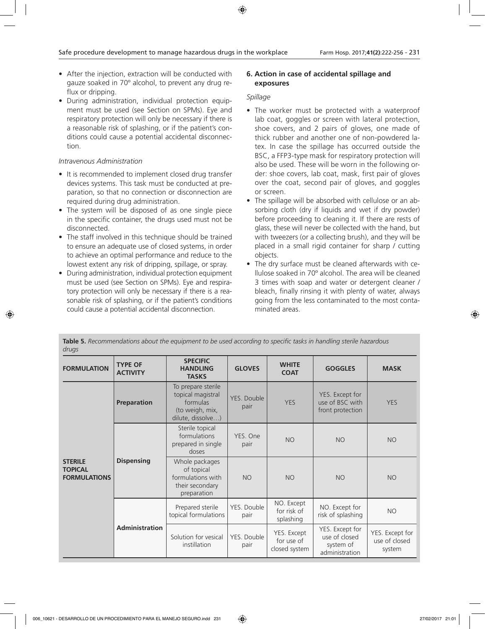- After the injection, extraction will be conducted with gauze soaked in 70º alcohol, to prevent any drug reflux or dripping.
- During administration, individual protection equipment must be used (see Section on SPMs). Eye and respiratory protection will only be necessary if there is a reasonable risk of splashing, or if the patient's conditions could cause a potential accidental disconnection.

### *Intravenous Administration*

- It is recommended to implement closed drug transfer devices systems. This task must be conducted at preparation, so that no connection or disconnection are required during drug administration.
- The system will be disposed of as one single piece in the specific container, the drugs used must not be disconnected.
- The staff involved in this technique should be trained to ensure an adequate use of closed systems, in order to achieve an optimal performance and reduce to the lowest extent any risk of dripping, spillage, or spray.
- During administration, individual protection equipment must be used (see Section on SPMs). Eye and respiratory protection will only be necessary if there is a reasonable risk of splashing, or if the patient's conditions could cause a potential accidental disconnection.

#### **6. Action in case of accidental spillage and exposures**

### *Spillage*

- The worker must be protected with a waterproof lab coat, goggles or screen with lateral protection, shoe covers, and 2 pairs of gloves, one made of thick rubber and another one of non-powdered latex. In case the spillage has occurred outside the BSC, a FFP3-type mask for respiratory protection will also be used. These will be worn in the following order: shoe covers, lab coat, mask, first pair of gloves over the coat, second pair of gloves, and goggles or screen.
- The spillage will be absorbed with cellulose or an absorbing cloth (dry if liquids and wet if dry powder) before proceeding to cleaning it. If there are rests of glass, these will never be collected with the hand, but with tweezers (or a collecting brush), and they will be placed in a small rigid container for sharp / cutting objects.
- The dry surface must be cleaned afterwards with cellulose soaked in 70º alcohol. The area will be cleaned 3 times with soap and water or detergent cleaner / bleach, finally rinsing it with plenty of water, always going from the less contaminated to the most contaminated areas.

|                                                         | uruys                             |                                                                                             |                     |                                                                               |                                                                 |                                            |  |  |
|---------------------------------------------------------|-----------------------------------|---------------------------------------------------------------------------------------------|---------------------|-------------------------------------------------------------------------------|-----------------------------------------------------------------|--------------------------------------------|--|--|
| <b>FORMULATION</b>                                      | <b>TYPE OF</b><br><b>ACTIVITY</b> | <b>SPECIFIC</b><br><b>HANDLING</b><br><b>TASKS</b>                                          | <b>GLOVES</b>       | <b>WHITE</b><br><b>COAT</b>                                                   | <b>GOGGLES</b>                                                  | <b>MASK</b>                                |  |  |
| <b>STERILE</b><br><b>TOPICAL</b><br><b>FORMULATIONS</b> | <b>Preparation</b>                | To prepare sterile<br>topical magistral<br>formulas<br>(to weigh, mix,<br>dilute, dissolve) | YES. Double<br>pair | <b>YES</b>                                                                    | YES. Except for<br>use of BSC with<br>front protection          | <b>YES</b>                                 |  |  |
|                                                         | <b>Dispensing</b>                 | Sterile topical<br>formulations<br>prepared in single<br>doses                              |                     | <b>NO</b>                                                                     | <b>NO</b>                                                       | <b>NO</b>                                  |  |  |
|                                                         |                                   | Whole packages<br>of topical<br>formulations with<br>their secondary<br>preparation         | <b>NO</b>           | <b>NO</b>                                                                     | <b>NO</b>                                                       | <b>NO</b>                                  |  |  |
|                                                         |                                   | Prepared sterile<br>topical formulations                                                    | YES. Double<br>pair | NO. Except<br>NO. Except for<br>for risk of<br>risk of splashing<br>splashing | <b>NO</b>                                                       |                                            |  |  |
|                                                         | Administration                    | Solution for vesical<br>instillation                                                        | YES. Double<br>pair | YES. Except<br>for use of<br>closed system                                    | YES. Except for<br>use of closed<br>system of<br>administration | YES. Except for<br>use of closed<br>system |  |  |

**Table 5.** *Recommendations about the equipment to be used according to specific tasks in handling sterile hazardous drugs*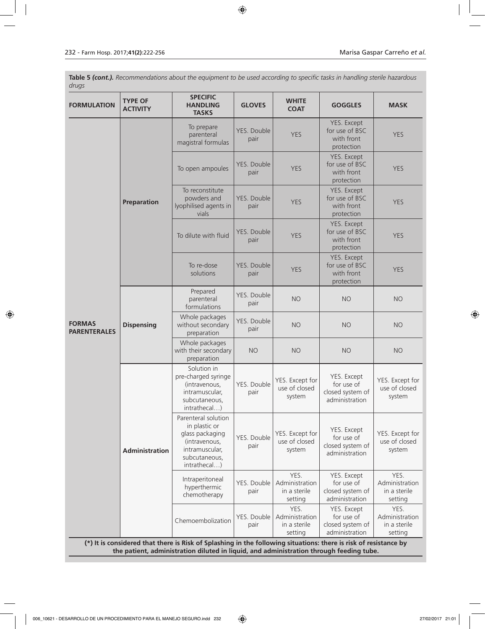**Table 5** *(cont.). Recommendations about the equipment to be used according to specific tasks in handling sterile hazardous drugs*

| <b>FORMULATION</b>                   | <b>SPECIFIC</b><br><b>TYPE OF</b><br><b>HANDLING</b><br><b>ACTIVITY</b><br><b>TASKS</b>                                                                                                                     |                                                                                                                             | <b>GLOVES</b>       | <b>WHITE</b><br><b>COAT</b>                                                                                          | <b>GOGGLES</b>                                                  | <b>MASK</b>                                       |  |  |
|--------------------------------------|-------------------------------------------------------------------------------------------------------------------------------------------------------------------------------------------------------------|-----------------------------------------------------------------------------------------------------------------------------|---------------------|----------------------------------------------------------------------------------------------------------------------|-----------------------------------------------------------------|---------------------------------------------------|--|--|
|                                      |                                                                                                                                                                                                             | To prepare<br>parenteral<br>magistral formulas                                                                              | YES. Double<br>pair | <b>YES</b>                                                                                                           | YES. Except<br>for use of BSC<br>with front<br>protection       | <b>YES</b>                                        |  |  |
|                                      |                                                                                                                                                                                                             | To open ampoules                                                                                                            | YES. Double<br>pair | <b>YES</b>                                                                                                           | YES. Except<br>for use of BSC<br>with front<br>protection       | <b>YES</b>                                        |  |  |
|                                      | Preparation                                                                                                                                                                                                 | To reconstitute<br>powders and<br>lyophilised agents in<br>vials                                                            | YES. Double<br>pair | YES. Except<br>for use of BSC<br><b>YES</b><br>with front<br>protection                                              | <b>YES</b>                                                      |                                                   |  |  |
|                                      |                                                                                                                                                                                                             | To dilute with fluid                                                                                                        | YES. Double<br>pair | <b>YES</b>                                                                                                           | YES. Except<br>for use of BSC<br>with front<br>protection       | <b>YES</b>                                        |  |  |
|                                      |                                                                                                                                                                                                             | To re-dose<br>YES. Double<br>solutions<br>pair<br>Prepared<br>parenteral<br>pair<br>formulations                            | <b>YES</b>          | YES. Except<br>for use of BSC<br>with front<br>protection                                                            | <b>YES</b>                                                      |                                                   |  |  |
|                                      |                                                                                                                                                                                                             |                                                                                                                             | YES. Double         | <b>NO</b>                                                                                                            | <b>NO</b>                                                       | <b>NO</b>                                         |  |  |
| <b>FORMAS</b><br><b>PARENTERALES</b> | <b>Dispensing</b>                                                                                                                                                                                           | Whole packages<br>without secondary<br>preparation                                                                          | YES. Double<br>pair | <b>NO</b>                                                                                                            | <b>NO</b>                                                       | <b>NO</b>                                         |  |  |
|                                      | Whole packages<br>with their secondary<br><b>NO</b><br><b>NO</b><br><b>NO</b><br>preparation                                                                                                                |                                                                                                                             | <b>NO</b>           |                                                                                                                      |                                                                 |                                                   |  |  |
|                                      |                                                                                                                                                                                                             | Solution in<br>pre-charged syringe<br>(intravenous.<br>intramuscular,<br>subcutaneous,<br>intrathecal)                      | YES. Double<br>pair | YES. Except for<br>use of closed<br>system                                                                           | YES. Except<br>for use of<br>closed system of<br>administration | YES. Except for<br>use of closed<br>system        |  |  |
|                                      | <b>Administration</b>                                                                                                                                                                                       | Parenteral solution<br>in plastic or<br>glass packaging<br>(intravenous,<br>intramuscular,<br>subcutaneous,<br>intrathecal) | YES. Double<br>pair | YES. Except for<br>use of closed<br>system                                                                           | YES. Except<br>for use of<br>closed system of<br>administration | YES. Except for<br>use of closed<br>system        |  |  |
|                                      |                                                                                                                                                                                                             | Intraperitoneal<br>hyperthermic<br>chemotherapy                                                                             | YES. Double<br>pair | YES.<br>YES. Except<br>Administration<br>for use of<br>closed system of<br>in a sterile<br>administration<br>setting | YES.<br>Administration<br>in a sterile<br>setting               |                                                   |  |  |
|                                      |                                                                                                                                                                                                             | Chemoembolization                                                                                                           | YES. Double<br>pair | YES.<br>Administration<br>in a sterile<br>setting                                                                    | YES. Except<br>for use of<br>closed system of<br>administration | YES.<br>Administration<br>in a sterile<br>setting |  |  |
|                                      | (*) It is considered that there is Risk of Splashing in the following situations: there is risk of resistance by<br>the patient, administration diluted in liquid, and administration through feeding tube. |                                                                                                                             |                     |                                                                                                                      |                                                                 |                                                   |  |  |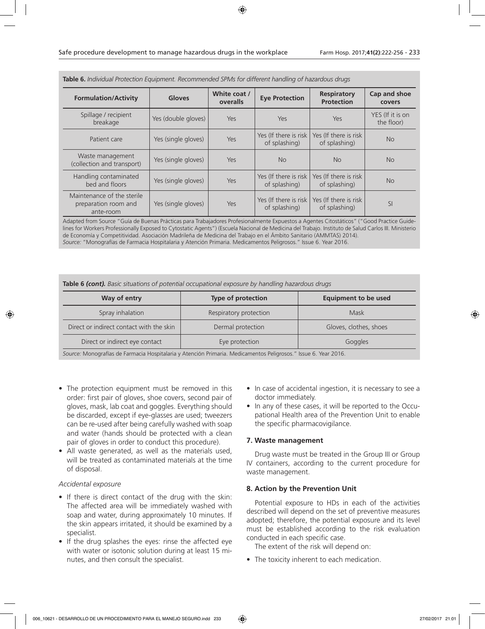| <u>iaule 0. Maraldous drugs (Commercial Decommercial Division Uniterest National Of Hazardous drugs</u> |                     |                          |                                         |                                         |                                |  |
|---------------------------------------------------------------------------------------------------------|---------------------|--------------------------|-----------------------------------------|-----------------------------------------|--------------------------------|--|
| <b>Formulation/Activity</b>                                                                             | <b>Gloves</b>       | White coat /<br>overalls | <b>Eye Protection</b>                   | <b>Respiratory</b><br><b>Protection</b> | Cap and shoe<br>covers         |  |
| Spillage / recipient<br>breakage                                                                        | Yes (double gloves) | Yes                      | Yes                                     | Yes                                     | YES (If it is on<br>the floor) |  |
| Patient care                                                                                            | Yes (single gloves) | Yes                      | Yes (If there is risk<br>of splashing)  | Yes (If there is risk<br>of splashing)  | N <sub>o</sub>                 |  |
| Waste management<br>(collection and transport)                                                          | Yes (single gloves) | Yes                      | <b>No</b>                               | <b>No</b>                               | <b>No</b>                      |  |
| Handling contaminated<br>bed and floors                                                                 | Yes (single gloves) | Yes                      | Yes (If there is risk<br>of splashing)  | Yes (If there is risk<br>of splashing)  | <b>No</b>                      |  |
| Maintenance of the sterile<br>preparation room and<br>ante-room                                         | Yes (single gloves) | Yes                      | Yes (If there is risk)<br>of splashing) | Yes (If there is risk)<br>of splashing) | SI                             |  |

**Table 6.** *Individual Protection Equipment. Recommended SPMs for different handling of hazardous drugs*

Adapted from Source "Guía de Buenas Prácticas para Trabajadores Profesionalmente Expuestos a Agentes Citostáticos" ("Good Practice Guidelines for Workers Professionally Exposed to Cytostatic Agents") (Escuela Nacional de Medicina del Trabajo. Instituto de Salud Carlos III. Ministerio de Economía y Competitividad. Asociación Madrileña de Medicina del Trabajo en el Ámbito Sanitario (AMMTAS) 2014). *Source:* "Monografías de Farmacia Hospitalaria y Atención Primaria. Medicamentos Peligrosos." Issue 6. Year 2016.

**Table 6** *(cont). Basic situations of potential occupational exposure by handling hazardous drugs*

| Way of entry                             | <b>Type of protection</b> | <b>Equipment to be used</b> |
|------------------------------------------|---------------------------|-----------------------------|
| Spray inhalation                         | Respiratory protection    | Mask                        |
| Direct or indirect contact with the skin | Dermal protection         | Gloves, clothes, shoes      |
| Direct or indirect eye contact           | Eye protection            | Goggles                     |

*Surce: Monografías de Farmacia Hospitalaria y Atención Primaria. Medicamentos Peligrosos* 

- The protection equipment must be removed in this order: first pair of gloves, shoe covers, second pair of gloves, mask, lab coat and goggles. Everything should be discarded, except if eye-glasses are used; tweezers can be re-used after being carefully washed with soap and water (hands should be protected with a clean pair of gloves in order to conduct this procedure).
- All waste generated, as well as the materials used, will be treated as contaminated materials at the time of disposal.

### *Accidental exposure*

- If there is direct contact of the drug with the skin: The affected area will be immediately washed with soap and water, during approximately 10 minutes. If the skin appears irritated, it should be examined by a specialist.
- If the drug splashes the eyes: rinse the affected eye with water or isotonic solution during at least 15 minutes, and then consult the specialist.
- In case of accidental ingestion, it is necessary to see a doctor immediately.
- In any of these cases, it will be reported to the Occupational Health area of the Prevention Unit to enable the specific pharmacovigilance.

### **7. Waste management**

Drug waste must be treated in the Group III or Group IV containers, according to the current procedure for waste management.

#### **8. Action by the Prevention Unit**

Potential exposure to HDs in each of the activities described will depend on the set of preventive measures adopted; therefore, the potential exposure and its level must be established according to the risk evaluation conducted in each specific case.

The extent of the risk will depend on:

• The toxicity inherent to each medication.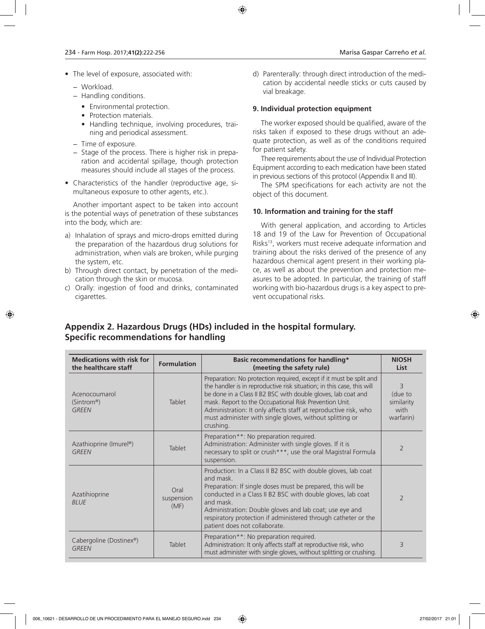- The level of exposure, associated with:
	- − Workload.
	- − Handling conditions.
		- Environmental protection.
		- Protection materials.
		- Handling technique, involving procedures, training and periodical assessment.
	- − Time of exposure.
	- − Stage of the process. There is higher risk in preparation and accidental spillage, though protection measures should include all stages of the process.
- Characteristics of the handler (reproductive age, simultaneous exposure to other agents, etc.).

Another important aspect to be taken into account is the potential ways of penetration of these substances into the body, which are:

- a) Inhalation of sprays and micro-drops emitted during the preparation of the hazardous drug solutions for administration, when vials are broken, while purging the system, etc.
- b) Through direct contact, by penetration of the medication through the skin or mucosa.
- c) Orally: ingestion of food and drinks, contaminated cigarettes.

d) Parenterally: through direct introduction of the medication by accidental needle sticks or cuts caused by vial breakage.

### **9. Individual protection equipment**

The worker exposed should be qualified, aware of the risks taken if exposed to these drugs without an adequate protection, as well as of the conditions required for patient safety.

Thee requirements about the use of Individual Protection Equipment according to each medication have been stated in previous sections of this protocol (Appendix II and III).

The SPM specifications for each activity are not the object of this document.

### **10. Information and training for the staff**

With general application, and according to Articles 18 and 19 of the Law for Prevention of Occupational Risks<sup>13</sup>, workers must receive adequate information and training about the risks derived of the presence of any hazardous chemical agent present in their working place, as well as about the prevention and protection measures to be adopted. In particular, the training of staff working with bio-hazardous drugs is a key aspect to prevent occupational risks.

# **Appendix 2. Hazardous Drugs (HDs) included in the hospital formulary. Specific recommendations for handling**

| <b>Medications with risk for</b><br>the healthcare staff | <b>Formulation</b>         | <b>Basic recommendations for handling*</b><br>(meeting the safety rule)                                                                                                                                                                                                                                                                                                                                              | <b>NIOSH</b><br><b>List</b>                                  |
|----------------------------------------------------------|----------------------------|----------------------------------------------------------------------------------------------------------------------------------------------------------------------------------------------------------------------------------------------------------------------------------------------------------------------------------------------------------------------------------------------------------------------|--------------------------------------------------------------|
| Acenocoumarol<br>(Sintrom <sup>®</sup> )<br><b>GREEN</b> | Tablet                     | Preparation: No protection required, except if it must be split and<br>the handler is in reproductive risk situation; in this case, this will<br>be done in a Class II B2 BSC with double gloves, lab coat and<br>mask. Report to the Occupational Risk Prevention Unit.<br>Administration: It only affects staff at reproductive risk, who<br>must administer with single gloves, without splitting or<br>crushing. | $\overline{3}$<br>(due to<br>similarity<br>with<br>warfarin) |
| Azathioprine (Imurel®)<br><b>GREEN</b>                   | Tablet                     | Preparation**: No preparation required.<br>Administration: Administer with single gloves. If it is<br>necessary to split or crush***, use the oral Magistral Formula<br>suspension.                                                                                                                                                                                                                                  | $\overline{2}$                                               |
| Azatihioprine<br><b>BLUE</b>                             | Oral<br>suspension<br>(MF) | Production: In a Class II B2 BSC with double gloves, lab coat<br>and mask.<br>Preparation: If single doses must be prepared, this will be<br>conducted in a Class II B2 BSC with double gloves, lab coat<br>and mask.<br>Administration: Double gloves and lab coat; use eye and<br>respiratory protection if administered through catheter or the<br>patient does not collaborate.                                  | $\overline{2}$                                               |
| Cabergoline (Dostinex®)<br><b>GREEN</b>                  | Tablet                     | Preparation**: No preparation required.<br>Administration: It only affects staff at reproductive risk, who<br>must administer with single gloves, without splitting or crushing.                                                                                                                                                                                                                                     | 3                                                            |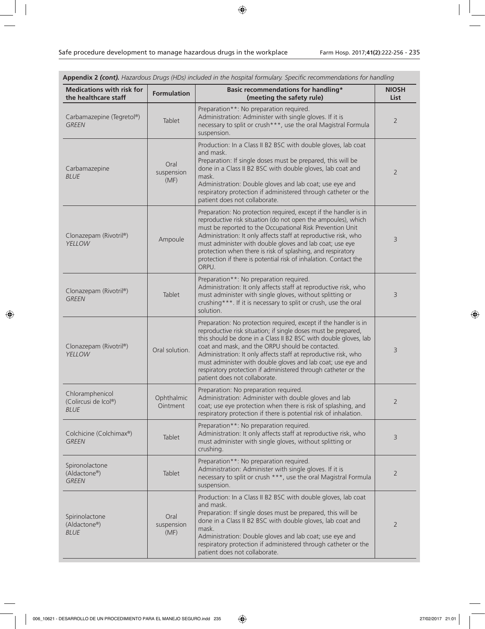| <b>Medications with risk for</b><br>the healthcare staff | <b>Formulation</b>         | Basic recommendations for handling*<br>(meeting the safety rule)                                                                                                                                                                                                                                                                                                                                                                                                                                 | <b>NIOSH</b><br><b>List</b> |
|----------------------------------------------------------|----------------------------|--------------------------------------------------------------------------------------------------------------------------------------------------------------------------------------------------------------------------------------------------------------------------------------------------------------------------------------------------------------------------------------------------------------------------------------------------------------------------------------------------|-----------------------------|
| Carbamazepine (Tegretol®)<br><b>GREEN</b>                | Tablet                     | Preparation**: No preparation required.<br>Administration: Administer with single gloves. If it is<br>necessary to split or crush***, use the oral Magistral Formula<br>suspension.                                                                                                                                                                                                                                                                                                              | $\overline{2}$              |
| Carbamazepine<br><b>BLUE</b>                             | Oral<br>suspension<br>(MF) | Production: In a Class II B2 BSC with double gloves, lab coat<br>and mask.<br>Preparation: If single doses must be prepared, this will be<br>done in a Class II B2 BSC with double gloves, lab coat and<br>mask.<br>Administration: Double gloves and lab coat; use eye and<br>respiratory protection if administered through catheter or the<br>patient does not collaborate.                                                                                                                   | $\overline{2}$              |
| Clonazepam (Rivotril®)<br>YELLOW                         | Ampoule                    | Preparation: No protection required, except if the handler is in<br>reproductive risk situation (do not open the ampoules), which<br>must be reported to the Occupational Risk Prevention Unit<br>Administration: It only affects staff at reproductive risk, who<br>must administer with double gloves and lab coat; use eye<br>protection when there is risk of splashing, and respiratory<br>protection if there is potential risk of inhalation. Contact the<br>ORPU.                        | 3                           |
| Clonazepam (Rivotril®)<br><b>GREEN</b>                   | Tablet                     | Preparation**: No preparation required.<br>Administration: It only affects staff at reproductive risk, who<br>must administer with single gloves, without splitting or<br>crushing***. If it is necessary to split or crush, use the oral<br>solution.                                                                                                                                                                                                                                           | 3                           |
| Clonazepam (Rivotril®)<br>YELLOW                         | Oral solution.             | Preparation: No protection required, except if the handler is in<br>reproductive risk situation; if single doses must be prepared,<br>this should be done in a Class II B2 BSC with double gloves, lab<br>coat and mask, and the ORPU should be contacted.<br>Administration: It only affects staff at reproductive risk, who<br>must administer with double gloves and lab coat; use eye and<br>respiratory protection if administered through catheter or the<br>patient does not collaborate. | 3                           |
| Chloramphenicol<br>(Colircusi de Icol®)<br><b>BLUE</b>   | Ophthalmic<br>Ointment     | Preparation: No preparation required.<br>Administration: Administer with double gloves and lab<br>coat; use eye protection when there is risk of splashing, and<br>respiratory protection if there is potential risk of inhalation.                                                                                                                                                                                                                                                              | 2                           |
| Colchicine (Colchimax®)<br><b>GREEN</b>                  | Tablet                     | Preparation**: No preparation required.<br>Administration: It only affects staff at reproductive risk, who<br>must administer with single gloves, without splitting or<br>crushing.                                                                                                                                                                                                                                                                                                              | 3                           |
| Spironolactone<br>(Aldactone®)<br><b>GREEN</b>           | Tablet                     | Preparation**: No preparation required.<br>Administration: Administer with single gloves. If it is<br>necessary to split or crush ***, use the oral Magistral Formula<br>suspension.                                                                                                                                                                                                                                                                                                             | $\overline{2}$              |
| Spirinolactone<br>(Aldactone®)<br><b>BLUE</b>            | Oral<br>suspension<br>(MF) | Production: In a Class II B2 BSC with double gloves, lab coat<br>and mask.<br>Preparation: If single doses must be prepared, this will be<br>done in a Class II B2 BSC with double gloves, lab coat and<br>mask.<br>Administration: Double gloves and lab coat; use eye and<br>respiratory protection if administered through catheter or the<br>patient does not collaborate.                                                                                                                   | $\overline{2}$              |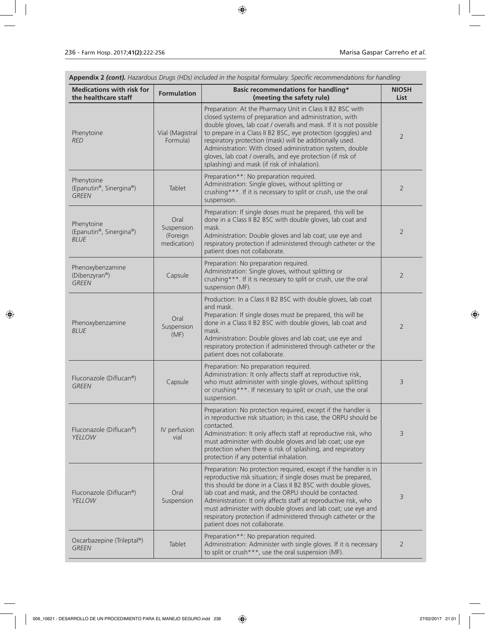Oxcarbazepine (Trileptal®) *GREEN* Tablet

| <b>Medications with risk for</b>                      |                                               | Appendix 2 (cont). Hazardous Drugs (HDs) included in the hospital formulary. Specific recommendations for handling<br>Basic recommendations for handling*                                                                                                                                                                                                                                                                                                                                          | <b>NIOSH</b>   |
|-------------------------------------------------------|-----------------------------------------------|----------------------------------------------------------------------------------------------------------------------------------------------------------------------------------------------------------------------------------------------------------------------------------------------------------------------------------------------------------------------------------------------------------------------------------------------------------------------------------------------------|----------------|
| the healthcare staff                                  | <b>Formulation</b>                            | (meeting the safety rule)                                                                                                                                                                                                                                                                                                                                                                                                                                                                          | <b>List</b>    |
| Phenytoine<br><b>RED</b>                              | Vial (Magistral<br>Formula)                   | Preparation: At the Pharmacy Unit in Class II B2 BSC with<br>closed systems of preparation and administration, with<br>double gloves, lab coat / overalls and mask. If it is not possible<br>to prepare in a Class II B2 BSC, eye protection (goggles) and<br>respiratory protection (mask) will be additionally used.<br>Administration: With closed administration system, double<br>gloves, lab coat / overalls, and eye protection (if risk of<br>splashing) and mask (if risk of inhalation). | 2              |
| Phenytoine<br>(Epanutin®, Sinergina®)<br><b>GREEN</b> | Tablet                                        | Preparation**: No preparation required.<br>Administration: Single gloves, without splitting or<br>crushing***. If it is necessary to split or crush, use the oral<br>suspension.                                                                                                                                                                                                                                                                                                                   | $\overline{2}$ |
| Phenytoine<br>(Epanutin®, Sinergina®)<br><b>BLUE</b>  | Oral<br>Suspension<br>(Foreign<br>medication) | Preparation: If single doses must be prepared, this will be<br>done in a Class II B2 BSC with double gloves, lab coat and<br>mask.<br>Administration: Double gloves and lab coat; use eye and<br>respiratory protection if administered through catheter or the<br>patient does not collaborate.                                                                                                                                                                                                   | $\overline{2}$ |
| Phenoxybenzamine<br>(Dibenzyran®)<br><b>GREEN</b>     | Capsule                                       | Preparation: No preparation required.<br>Administration: Single gloves, without splitting or<br>crushing***. If it is necessary to split or crush, use the oral<br>suspension (MF).                                                                                                                                                                                                                                                                                                                | $\overline{2}$ |
| Phenoxybenzamine<br><b>BLUE</b>                       | Oral<br>Suspension<br>(MF)                    | Production: In a Class II B2 BSC with double gloves, lab coat<br>and mask.<br>Preparation: If single doses must be prepared, this will be<br>done in a Class II B2 BSC with double gloves, lab coat and<br>mask.<br>Administration: Double gloves and lab coat; use eye and<br>respiratory protection if administered through catheter or the<br>patient does not collaborate.                                                                                                                     | $\overline{2}$ |
| Fluconazole (Diflucan®)<br><b>GREEN</b>               | Capsule                                       | Preparation: No preparation required.<br>Administration: It only affects staff at reproductive risk,<br>who must administer with single gloves, without splitting<br>or crushing***. If necessary to split or crush, use the oral<br>suspension.                                                                                                                                                                                                                                                   | 3              |
| Fluconazole (Diflucan®)<br>YELLOW                     | IV perfusion<br>vial                          | Preparation: No protection required, except if the handler is<br>in reproductive risk situation; in this case, the ORPU should be<br>contacted.<br>Administration: It only affects staff at reproductive risk, who<br>must administer with double gloves and lab coat; use eye<br>protection when there is risk of splashing, and respiratory<br>protection if any potential inhalation.                                                                                                           | 3              |
| Fluconazole (Diflucan®)<br>YELLOW                     | Oral<br>Suspension                            | Preparation: No protection required, except if the handler is in<br>reproductive risk situation; if single doses must be prepared,<br>this should be done in a Class II B2 BSC with double gloves,<br>lab coat and mask, and the ORPU should be contacted.<br>Administration: It only affects staff at reproductive risk, who<br>must administer with double gloves and lab coat; use eye and                                                                                                      | 3              |

patient does not collaborate.

Preparation\*\*: No preparation required.

to split or crush\*\*\*, use the oral suspension (MF).

respiratory protection if administered through catheter or the

Administration: Administer with single gloves. If it is necessary

2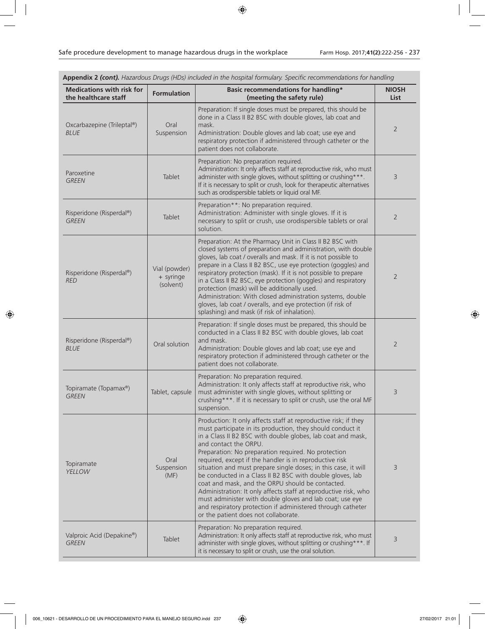| Appendix 2 (cont). Hazardous Drugs (HDs) included in the hospital formulary. Specific recommendations for handling |                                         |                                                                                                                                                                                                                                                                                                                                                                                                                                                                                                                                                                                                                                                                                                                                                                  |                             |  |
|--------------------------------------------------------------------------------------------------------------------|-----------------------------------------|------------------------------------------------------------------------------------------------------------------------------------------------------------------------------------------------------------------------------------------------------------------------------------------------------------------------------------------------------------------------------------------------------------------------------------------------------------------------------------------------------------------------------------------------------------------------------------------------------------------------------------------------------------------------------------------------------------------------------------------------------------------|-----------------------------|--|
| <b>Medications with risk for</b><br>the healthcare staff                                                           | <b>Formulation</b>                      | Basic recommendations for handling*<br>(meeting the safety rule)                                                                                                                                                                                                                                                                                                                                                                                                                                                                                                                                                                                                                                                                                                 | <b>NIOSH</b><br><b>List</b> |  |
| Oxcarbazepine (Trileptal®)<br><b>BLUE</b>                                                                          | Oral<br>Suspension                      | Preparation: If single doses must be prepared, this should be<br>done in a Class II B2 BSC with double gloves, lab coat and<br>mask.<br>Administration: Double gloves and lab coat; use eye and<br>respiratory protection if administered through catheter or the<br>patient does not collaborate.                                                                                                                                                                                                                                                                                                                                                                                                                                                               | $\overline{2}$              |  |
| Paroxetine<br><b>GREEN</b>                                                                                         | Tablet                                  | Preparation: No preparation required.<br>Administration: It only affects staff at reproductive risk, who must<br>administer with single gloves, without splitting or crushing***.<br>If it is necessary to split or crush, look for therapeutic alternatives<br>such as orodispersible tablets or liquid oral MF.                                                                                                                                                                                                                                                                                                                                                                                                                                                | 3                           |  |
| Risperidone (Risperdal®)<br><b>GREEN</b>                                                                           | Tablet                                  | Preparation**: No preparation required.<br>Administration: Administer with single gloves. If it is<br>necessary to split or crush, use orodispersible tablets or oral<br>solution.                                                                                                                                                                                                                                                                                                                                                                                                                                                                                                                                                                               | $\overline{2}$              |  |
| Risperidone (Risperdal®)<br><b>RED</b>                                                                             | Vial (powder)<br>+ syringe<br>(solvent) | Preparation: At the Pharmacy Unit in Class II B2 BSC with<br>closed systems of preparation and administration, with double<br>gloves, lab coat / overalls and mask. If it is not possible to<br>prepare in a Class II B2 BSC, use eye protection (goggles) and<br>respiratory protection (mask). If it is not possible to prepare<br>in a Class II B2 BSC, eye protection (goggles) and respiratory<br>protection (mask) will be additionally used.<br>Administration: With closed administration systems, double<br>gloves, lab coat / overalls, and eye protection (if risk of<br>splashing) and mask (if risk of inhalation).                                                                                                                                 | $\overline{2}$              |  |
| Risperidone (Risperdal®)<br><b>BLUE</b>                                                                            | Oral solution                           | Preparation: If single doses must be prepared, this should be<br>conducted in a Class II B2 BSC with double gloves, lab coat<br>and mask.<br>Administration: Double gloves and lab coat; use eye and<br>respiratory protection if administered through catheter or the<br>patient does not collaborate.                                                                                                                                                                                                                                                                                                                                                                                                                                                          | $\overline{2}$              |  |
| Topiramate (Topamax®)<br><b>GREEN</b>                                                                              | Tablet, capsule                         | Preparation: No preparation required.<br>Administration: It only affects staff at reproductive risk, who<br>must administer with single gloves, without splitting or<br>crushing***. If it is necessary to split or crush, use the oral MF<br>suspension.                                                                                                                                                                                                                                                                                                                                                                                                                                                                                                        | 3                           |  |
| Topiramate<br>YELLOW                                                                                               | Oral<br>Suspension<br>(MF)              | Production: It only affects staff at reproductive risk; if they<br>must participate in its production, they should conduct it<br>in a Class II B2 BSC with double globes, lab coat and mask,<br>and contact the ORPU.<br>Preparation: No preparation required. No protection<br>required, except if the handler is in reproductive risk<br>situation and must prepare single doses; in this case, it will<br>be conducted in a Class II B2 BSC with double gloves, lab<br>coat and mask, and the ORPU should be contacted.<br>Administration: It only affects staff at reproductive risk, who<br>must administer with double gloves and lab coat; use eye<br>and respiratory protection if administered through catheter<br>or the patient does not collaborate. | $\overline{3}$              |  |
| Valproic Acid (Depakine®)<br><b>GREEN</b>                                                                          | Tablet                                  | Preparation: No preparation required.<br>Administration: It only affects staff at reproductive risk, who must<br>administer with single gloves, without splitting or crushing***. If<br>it is necessary to split or crush, use the oral solution.                                                                                                                                                                                                                                                                                                                                                                                                                                                                                                                | 3                           |  |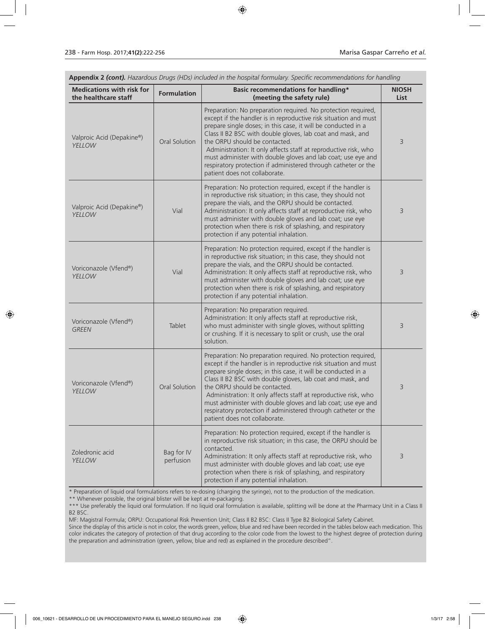| Appendix 2 (cont). Hazardous Drugs (HDs) included in the hospital formulary. Specific recommendations for handling |                         |                                                                                                                                                                                                                                                                                                                                                                                                                                                                                                                                         |                             |  |
|--------------------------------------------------------------------------------------------------------------------|-------------------------|-----------------------------------------------------------------------------------------------------------------------------------------------------------------------------------------------------------------------------------------------------------------------------------------------------------------------------------------------------------------------------------------------------------------------------------------------------------------------------------------------------------------------------------------|-----------------------------|--|
| <b>Medications with risk for</b><br>the healthcare staff                                                           | <b>Formulation</b>      | Basic recommendations for handling*<br>(meeting the safety rule)                                                                                                                                                                                                                                                                                                                                                                                                                                                                        | <b>NIOSH</b><br><b>List</b> |  |
| Valproic Acid (Depakine®)<br>YELLOW                                                                                | Oral Solution           | Preparation: No preparation required. No protection required,<br>except if the handler is in reproductive risk situation and must<br>prepare single doses; in this case, it will be conducted in a<br>Class II B2 BSC with double gloves, lab coat and mask, and<br>the ORPU should be contacted.<br>Administration: It only affects staff at reproductive risk, who<br>must administer with double gloves and lab coat; use eye and<br>respiratory protection if administered through catheter or the<br>patient does not collaborate. | 3                           |  |
| Valproic Acid (Depakine®)<br>YELLOW                                                                                | Vial                    | Preparation: No protection required, except if the handler is<br>in reproductive risk situation; in this case, they should not<br>prepare the vials, and the ORPU should be contacted.<br>Administration: It only affects staff at reproductive risk, who<br>must administer with double gloves and lab coat; use eye<br>protection when there is risk of splashing, and respiratory<br>protection if any potential inhalation.                                                                                                         | 3                           |  |
| Voriconazole (Vfend®)<br>YELLOW                                                                                    | Vial                    | Preparation: No protection required, except if the handler is<br>in reproductive risk situation; in this case, they should not<br>prepare the vials, and the ORPU should be contacted.<br>Administration: It only affects staff at reproductive risk, who<br>must administer with double gloves and lab coat; use eye<br>protection when there is risk of splashing, and respiratory<br>protection if any potential inhalation.                                                                                                         | 3                           |  |
| Voriconazole (Vfend®)<br><b>GREEN</b>                                                                              | Tablet                  | Preparation: No preparation required.<br>Administration: It only affects staff at reproductive risk,<br>who must administer with single gloves, without splitting<br>or crushing. If it is necessary to split or crush, use the oral<br>solution.                                                                                                                                                                                                                                                                                       | 3                           |  |
| Voriconazole (Vfend®)<br>YELLOW                                                                                    | Oral Solution           | Preparation: No preparation required. No protection required,<br>except if the handler is in reproductive risk situation and must<br>prepare single doses; in this case, it will be conducted in a<br>Class II B2 BSC with double gloves, lab coat and mask, and<br>the ORPU should be contacted.<br>Administration: It only affects staff at reproductive risk, who<br>must administer with double gloves and lab coat; use eye and<br>respiratory protection if administered through catheter or the<br>patient does not collaborate. | 3                           |  |
| Zoledronic acid<br>YELLOW                                                                                          | Bag for IV<br>perfusion | Preparation: No protection required, except if the handler is<br>in reproductive risk situation; in this case, the ORPU should be<br>contacted.<br>Administration: It only affects staff at reproductive risk, who<br>must administer with double gloves and lab coat; use eye<br>protection when there is risk of splashing, and respiratory<br>protection if any potential inhalation.                                                                                                                                                | 3                           |  |

\* Preparation of liquid oral formulations refers to re-dosing (charging the syringe), not to the production of the medication.

\*\* Whenever possible, the original blister will be kept at re-packaging.

\*\*\* Use preferably the liquid oral formulation. If no liquid oral formulation is available, splitting will be done at the Pharmacy Unit in a Class II B2 BSC.

MF: Magistral Formula; ORPU: Occupational Risk Prevention Unit; Class II B2 BSC: Class II Type B2 Biological Safety Cabinet.

Since the display of this article is not in color, the words green, yellow, blue and red have been recorded in the tables below each medication. This color indicates the category of protection of that drug according to the color code from the lowest to the highest degree of protection during the preparation and administration (green, yellow, blue and red) as explained in the procedure described".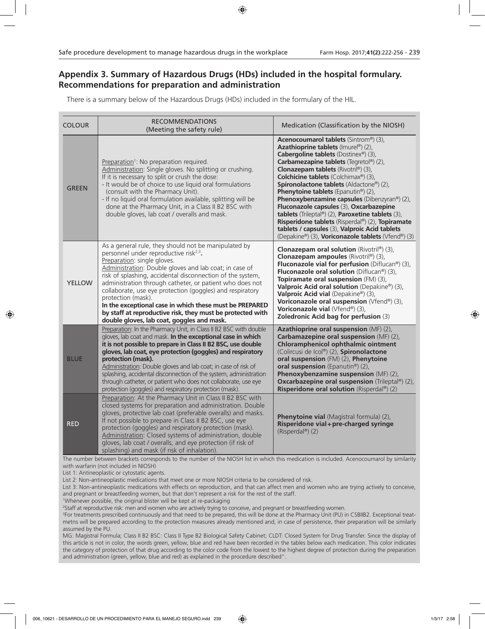# **Appendix 3. Summary of Hazardous Drugs (HDs) included in the hospital formulary. Recommendations for preparation and administration**

There is a summary below of the Hazardous Drugs (HDs) included in the formulary of the HIL.

| <b>COLOUR</b> | <b>RECOMMENDATIONS</b><br>(Meeting the safety rule)                                                                                                                                                                                                                                                                                                                                                                                                                                                                                                                                     | Medication (Classification by the NIOSH)                                                                                                                                                                                                                                                                                                                                                                                                                                                                                                                                                                                                                         |
|---------------|-----------------------------------------------------------------------------------------------------------------------------------------------------------------------------------------------------------------------------------------------------------------------------------------------------------------------------------------------------------------------------------------------------------------------------------------------------------------------------------------------------------------------------------------------------------------------------------------|------------------------------------------------------------------------------------------------------------------------------------------------------------------------------------------------------------------------------------------------------------------------------------------------------------------------------------------------------------------------------------------------------------------------------------------------------------------------------------------------------------------------------------------------------------------------------------------------------------------------------------------------------------------|
| <b>GREEN</b>  | Preparation <sup>1</sup> : No preparation required.<br>Administration: Single gloves. No splitting or crushing.<br>If it is necessary to split or crush the dose:<br>- It would be of choice to use liquid oral formulations<br>(consult with the Pharmacy Unit).<br>- If no liquid oral formulation available, splitting will be<br>done at the Pharmacy Unit, in a Class II B2 BSC with<br>double gloves, lab coat / overalls and mask.                                                                                                                                               | <b>Acenocoumarol tablets</b> (Sintrom®) (3),<br>Azathioprine tablets (Imurel®) (2),<br>Cabergoline tablets (Dostinex®) (3),<br>Carbamezapine tablets (Tegretol®) (2),<br>Clonazepam tablets (Rivotril®) (3),<br>Colchicine tablets (Colchimax®) (3),<br>Spironolactone tablets (Aldactone®) (2),<br><b>Phenytoine tablets</b> (Epanutin®) (2),<br><b>Phenoxybenzamine capsules</b> (Dibenzyran®) (2),<br>Fluconazole capsules (3), Oxcarbazepine<br>tablets (Trileptal®) (2), Paroxetine tablets (3),<br>Risperidone tablets (Risperdal®) (2), Topiramate<br>tablets / capsules (3), Valproic Acid tablets<br>(Depakine®) (3), Voriconazole tablets (Vfend®) (3) |
| <b>YELLOW</b> | As a general rule, they should not be manipulated by<br>personnel under reproductive risk <sup>2,3</sup> .<br>Preparation: single gloves.<br>Administration: Double gloves and lab coat; in case of<br>risk of splashing, accidental disconnection of the system,<br>administration through catheter, or patient who does not<br>collaborate, use eye protection (goggles) and respiratory<br>protection (mask).<br>In the exceptional case in which these must be PREPARED<br>by staff at reproductive risk, they must be protected with<br>double gloves, lab coat, goggles and mask. | Clonazepam oral solution (Rivotril®) (3),<br>Clonazepam ampoules (Rivotril®) (3),<br><b>Fluconazole vial for perfusion</b> (Diflucan®) (3),<br>Fluconazole oral solution (Diflucan®) (3),<br>Topiramate oral suspension (FM) (3),<br>Valproic Acid oral solution (Depakine®) (3),<br>Valproic Acid vial (Depakine®) (3),<br>Voriconazole oral suspension (Vfend®) (3),<br>Voriconazole vial (Vfend®) (3),<br>Zoledronic Acid bag for perfusion (3)                                                                                                                                                                                                               |
| <b>BLUE</b>   | Preparation: In the Pharmacy Unit, in Class II B2 BSC with double<br>gloves, lab coat and mask. In the exceptional case in which<br>it is not possible to prepare in Class II B2 BSC, use double<br>gloves, lab coat, eye protection (goggles) and respiratory<br>protection (mask).<br>Administration: Double gloves and lab coat; in case of risk of<br>splashing, accidental disconnection of the system, administration<br>through catheter, or patient who does not collaborate, use eye<br>protection (goggles) and respiratory protection (mask).                                | Azathioprine oral suspension (MF) (2),<br>Carbamazepine oral suspension (MF) (2),<br>Chloramphenicol ophthalmic ointment<br>(Colircusi de Icol®) (2), Spironolactone<br>oral suspension (FM) (2), Phenytoine<br>oral suspension (Epanutin®) (2),<br>Phenoxybenzamine suspension (MF) (2),<br><b>Oxcarbazepine oral suspension</b> (Trileptal®) (2),<br>Risperidone oral solution (Risperdal®) (2)                                                                                                                                                                                                                                                                |
| <b>RED</b>    | Preparation: At the Pharmacy Unit in Class II B2 BSC with<br>closed systems for preparation and administration. Double<br>gloves, protective lab coat (preferable overalls) and masks.<br>If not possible to prepare in Class II B2 BSC, use eye<br>protection (goggles) and respiratory protection (mask).<br>Administration: Closed systems of administration, double<br>gloves, lab coat / overalls, and eye protection (if risk of<br>splashing) and mask (if risk of inhalation).                                                                                                  | Phenytoine vial (Magistral formula) (2),<br>Risperidone vial + pre-charged syringe<br>(Risperdal®) (2)                                                                                                                                                                                                                                                                                                                                                                                                                                                                                                                                                           |

The number between brackets corresponds to the number of the NIOSH list in which this medication is included. Acenocoumarol by similarity with warfarin (not included in NIOSH)

List 1: Antineoplastic or cytostatic agents.

List 2: Non-antineoplastic medications that meet one or more NIOSH criteria to be considered of risk.

List 3: Non-antineoplastic medications with effects on reproduction, and that can affect men and women who are trying actively to conceive, and pregnant or breastfeeding women, but that don't represent a risk for the rest of the staff.

1 Whenever possible, the original blister will be kept at re-packaging 2 Staff at reproductive risk: men and women who are actively trying to conceive, and pregnant or breastfeeding women.

3 For treatments prescribed continuously and that need to be prepared, this will be done at the Pharmacy Unit (PU) in CSBIIB2. Exceptional treatmetns will be prepared according to the protection measures already mentioned and, in case of persistence, their preparation will be similarly assumed by the PU.

MG: Magistral Formula; Class II B2 BSC: Class II Type B2 Biological Safety Cabinet; CLDT: Closed System for Drug Transfer. Since the display of this article is not in color, the words green, yellow, blue and red have been recorded in the tables below each medication. This color indicates the category of protection of that drug according to the color code from the lowest to the highest degree of protection during the preparation and administration (green, yellow, blue and red) as explained in the procedure described".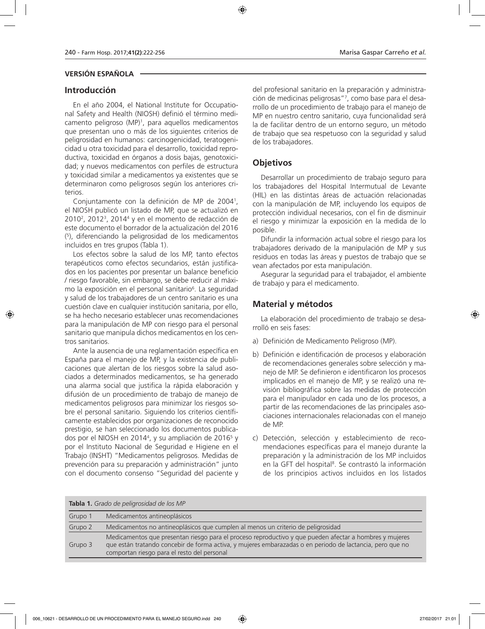### **VERSIÓN ESPAÑOLA**

### **Introducción**

En el año 2004, el National Institute for Occupational Safety and Health (NIOSH) definió el término medicamento peligroso (MP)1 , para aquellos medicamentos que presentan uno o más de los siguientes criterios de peligrosidad en humanos: carcinogenicidad, teratogenicidad u otra toxicidad para el desarrollo, toxicidad reproductiva, toxicidad en órganos a dosis bajas, genotoxicidad; y nuevos medicamentos con perfiles de estructura y toxicidad similar a medicamentos ya existentes que se determinaron como peligrosos según los anteriores criterios.

Conjuntamente con la definición de MP de 20041 , el NIOSH publicó un listado de MP, que se actualizó en 20102 , 20123 , 20144 y en el momento de redacción de este documento el borrador de la actualización del 2016 ( 5 ), diferenciando la peligrosidad de los medicamentos incluidos en tres grupos (Tabla 1).

Los efectos sobre la salud de los MP, tanto efectos terapéuticos como efectos secundarios, están justificados en los pacientes por presentar un balance beneficio / riesgo favorable, sin embargo, se debe reducir al máximo la exposición en el personal sanitario<sup>6</sup>. La seguridad y salud de los trabajadores de un centro sanitario es una cuestión clave en cualquier institución sanitaria, por ello, se ha hecho necesario establecer unas recomendaciones para la manipulación de MP con riesgo para el personal sanitario que manipula dichos medicamentos en los centros sanitarios.

Ante la ausencia de una reglamentación específica en España para el manejo de MP, y la existencia de publicaciones que alertan de los riesgos sobre la salud asociados a determinados medicamentos, se ha generado una alarma social que justifica la rápida elaboración y difusión de un procedimiento de trabajo de manejo de medicamentos peligrosos para minimizar los riesgos sobre el personal sanitario. Siguiendo los criterios científicamente establecidos por organizaciones de reconocido prestigio, se han seleccionado los documentos publicados por el NIOSH en 2014<sup>4</sup>, y su ampliación de 2016<sup>5</sup> y por el Instituto Nacional de Seguridad e Higiene en el Trabajo (INSHT) "Medicamentos peligrosos. Medidas de prevención para su preparación y administración" junto con el documento consenso "Seguridad del paciente y

del profesional sanitario en la preparación y administración de medicinas peligrosas"7 , como base para el desarrollo de un procedimiento de trabajo para el manejo de MP en nuestro centro sanitario, cuya funcionalidad será la de facilitar dentro de un entorno seguro, un método de trabajo que sea respetuoso con la seguridad y salud de los trabajadores.

# **Objetivos**

Desarrollar un procedimiento de trabajo seguro para los trabajadores del Hospital Intermutual de Levante (HIL) en las distintas áreas de actuación relacionadas con la manipulación de MP, incluyendo los equipos de protección individual necesarios, con el fin de disminuir el riesgo y minimizar la exposición en la medida de lo posible.

Difundir la información actual sobre el riesgo para los trabajadores derivado de la manipulación de MP y sus residuos en todas las áreas y puestos de trabajo que se vean afectados por esta manipulación.

Asegurar la seguridad para el trabajador, el ambiente de trabajo y para el medicamento.

## **Material y métodos**

La elaboración del procedimiento de trabajo se desarrolló en seis fases:

- a) Definición de Medicamento Peligroso (MP).
- b) Definición e identificación de procesos y elaboración de recomendaciones generales sobre selección y manejo de MP. Se definieron e identificaron los procesos implicados en el manejo de MP, y se realizó una revisión bibliográfica sobre las medidas de protección para el manipulador en cada uno de los procesos, a partir de las recomendaciones de las principales asociaciones internacionales relacionadas con el manejo de MP.
- c) Detección, selección y establecimiento de recomendaciones específicas para el manejo durante la preparación y la administración de los MP incluidos en la GFT del hospital<sup>8</sup>. Se contrastó la información de los principios activos incluidos en los listados

| Tabla 1. Grado de peligrosidad de los MP |                                                                                                                                                                                                                                                                     |  |  |  |  |
|------------------------------------------|---------------------------------------------------------------------------------------------------------------------------------------------------------------------------------------------------------------------------------------------------------------------|--|--|--|--|
| Grupo 1                                  | Medicamentos antineoplásicos                                                                                                                                                                                                                                        |  |  |  |  |
| Grupo 2                                  | Medicamentos no antineoplásicos que cumplen al menos un criterio de peligrosidad                                                                                                                                                                                    |  |  |  |  |
| Grupo 3                                  | Medicamentos que presentan riesgo para el proceso reproductivo y que pueden afectar a hombres y mujeres<br>que están tratando concebir de forma activa, y mujeres embarazadas o en periodo de lactancia, pero que no<br>comportan riesgo para el resto del personal |  |  |  |  |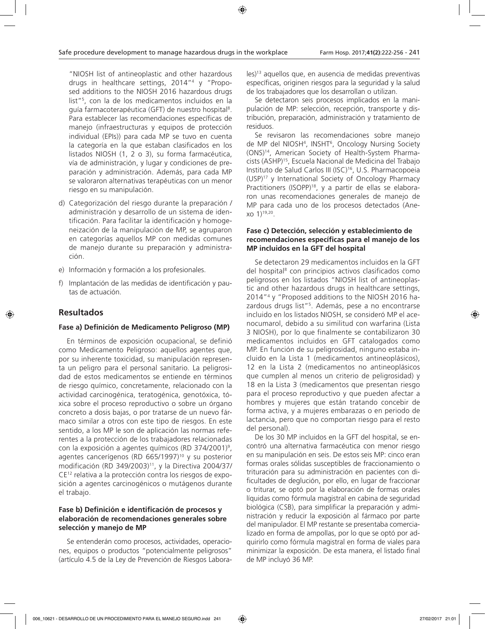"NIOSH list of antineoplastic and other hazardous drugs in healthcare settings, 2014"4 y "Proposed additions to the NIOSH 2016 hazardous drugs list"5 , con la de los medicamentos incluidos en la guía farmacoterapéutica (GFT) de nuestro hospital<sup>8</sup>. Para establecer las recomendaciones específicas de manejo (infraestructuras y equipos de protección individual (EPIs)) para cada MP se tuvo en cuenta la categoría en la que estaban clasificados en los listados NIOSH (1, 2 o 3), su forma farmacéutica, vía de administración, y lugar y condiciones de preparación y administración. Además, para cada MP se valoraron alternativas terapéuticas con un menor riesgo en su manipulación.

- d) Categorización del riesgo durante la preparación / administración y desarrollo de un sistema de identificación. Para facilitar la identificación y homogeneización de la manipulación de MP, se agruparon en categorías aquellos MP con medidas comunes de manejo durante su preparación y administración.
- e) Información y formación a los profesionales.
- f) Implantación de las medidas de identificación y pautas de actuación.

### **Resultados**

### **Fase a) Definición de Medicamento Peligroso (MP)**

En términos de exposición ocupacional, se definió como Medicamento Peligroso: aquellos agentes que, por su inherente toxicidad, su manipulación representa un peligro para el personal sanitario. La peligrosidad de estos medicamentos se entiende en términos de riesgo químico, concretamente, relacionado con la actividad carcinogénica, teratogénica, genotóxica, tóxica sobre el proceso reproductivo o sobre un órgano concreto a dosis bajas, o por tratarse de un nuevo fármaco similar a otros con este tipo de riesgos. En este sentido, a los MP le son de aplicación las normas referentes a la protección de los trabajadores relacionadas con la exposición a agentes químicos (RD 374/2001)9 , agentes cancerígenos (RD 665/1997)<sup>10</sup> y su posterior modificación (RD 349/2003)<sup>11</sup>, y la Directiva 2004/37/ CE12 relativa a la protección contra los riesgos de exposición a agentes carcinogénicos o mutágenos durante el trabajo.

#### **Fase b) Definición e identificación de procesos y elaboración de recomendaciones generales sobre selección y manejo de MP**

Se entenderán como procesos, actividades, operaciones, equipos o productos "potencialmente peligrosos" (artículo 4.5 de la Ley de Prevención de Riesgos Laborales)13 aquellos que, en ausencia de medidas preventivas específicas, originen riesgos para la seguridad y la salud de los trabajadores que los desarrollan o utilizan.

Se detectaron seis procesos implicados en la manipulación de MP: selección, recepción, transporte y distribución, preparación, administración y tratamiento de residuos.

Se revisaron las recomendaciones sobre manejo de MP del NIOSH4 , INSHT6 , Oncology Nursing Society (ONS)14, American Society of Health-System Pharmacists (ASHP)15, Escuela Nacional de Medicina del Trabajo Instituto de Salud Carlos III (ISC)16, U.S. Pharmacopoeia (USP)17 y International Society of Oncology Pharmacy Practitioners (ISOPP)<sup>18</sup>, y a partir de ellas se elaboraron unas recomendaciones generales de manejo de MP para cada uno de los procesos detectados (Anexo 1)19,20.

#### **Fase c) Detección, selección y establecimiento de recomendaciones específicas para el manejo de los MP incluidos en la GFT del hospital**

Se detectaron 29 medicamentos incluidos en la GFT del hospital<sup>8</sup> con principios activos clasificados como peligrosos en los listados "NIOSH list of antineoplastic and other hazardous drugs in healthcare settings, 2014"4 y "Proposed additions to the NIOSH 2016 hazardous drugs list"<sup>5</sup>. Además, pese a no encontrarse incluido en los listados NIOSH, se consideró MP el acenocumarol, debido a su similitud con warfarina (Lista 3 NIOSH), por lo que finalmente se contabilizaron 30 medicamentos incluidos en GFT catalogados como MP. En función de su peligrosidad, ninguno estaba incluido en la Lista 1 (medicamentos antineoplásicos), 12 en la Lista 2 (medicamentos no antineoplásicos que cumplen al menos un criterio de peligrosidad) y 18 en la Lista 3 (medicamentos que presentan riesgo para el proceso reproductivo y que pueden afectar a hombres y mujeres que están tratando concebir de forma activa, y a mujeres embarazas o en periodo de lactancia, pero que no comportan riesgo para el resto del personal).

De los 30 MP incluidos en la GFT del hospital, se encontró una alternativa farmacéutica con menor riesgo en su manipulación en seis. De estos seis MP: cinco eran formas orales sólidas susceptibles de fraccionamiento o trituración para su administración en pacientes con dificultades de deglución, por ello, en lugar de fraccionar o triturar, se optó por la elaboración de formas orales líquidas como fórmula magistral en cabina de seguridad biológica (CSB), para simplificar la preparación y administración y reducir la exposición al fármaco por parte del manipulador. El MP restante se presentaba comercializado en forma de ampollas, por lo que se optó por adquirirlo como fórmula magistral en forma de viales para minimizar la exposición. De esta manera, el listado final de MP incluyó 36 MP.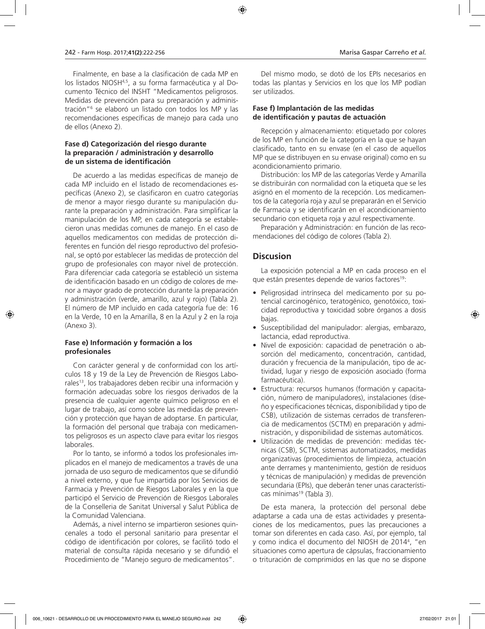Finalmente, en base a la clasificación de cada MP en los listados NIOSH4,5, a su forma farmacéutica y al Documento Técnico del INSHT "Medicamentos peligrosos. Medidas de prevención para su preparación y administración"6 se elaboró un listado con todos los MP y las recomendaciones específicas de manejo para cada uno de ellos (Anexo 2).

### **Fase d) Categorización del riesgo durante la preparación / administración y desarrollo de un sistema de identificación**

De acuerdo a las medidas específicas de manejo de cada MP incluido en el listado de recomendaciones específicas (Anexo 2), se clasificaron en cuatro categorías de menor a mayor riesgo durante su manipulación durante la preparación y administración. Para simplificar la manipulación de los MP, en cada categoría se establecieron unas medidas comunes de manejo. En el caso de aquellos medicamentos con medidas de protección diferentes en función del riesgo reproductivo del profesional, se optó por establecer las medidas de protección del grupo de profesionales con mayor nivel de protección. Para diferenciar cada categoría se estableció un sistema de identificación basado en un código de colores de menor a mayor grado de protección durante la preparación y administración (verde, amarillo, azul y rojo) (Tabla 2). El número de MP incluido en cada categoría fue de: 16 en la Verde, 10 en la Amarilla, 8 en la Azul y 2 en la roja (Anexo 3).

### **Fase e) Información y formación a los profesionales**

Con carácter general y de conformidad con los artículos 18 y 19 de la Ley de Prevención de Riesgos Laborales<sup>13</sup>, los trabajadores deben recibir una información y formación adecuadas sobre los riesgos derivados de la presencia de cualquier agente químico peligroso en el lugar de trabajo, así como sobre las medidas de prevención y protección que hayan de adoptarse. En particular, la formación del personal que trabaja con medicamentos peligrosos es un aspecto clave para evitar los riesgos laborales.

Por lo tanto, se informó a todos los profesionales implicados en el manejo de medicamentos a través de una jornada de uso seguro de medicamentos que se difundió a nivel externo, y que fue impartida por los Servicios de Farmacia y Prevención de Riesgos Laborales y en la que participó el Servicio de Prevención de Riesgos Laborales de la Conselleria de Sanitat Universal y Salut Pública de la Comunidad Valenciana.

Además, a nivel interno se impartieron sesiones quincenales a todo el personal sanitario para presentar el código de identificación por colores, se facilitó todo el material de consulta rápida necesario y se difundió el Procedimiento de "Manejo seguro de medicamentos".

Del mismo modo, se dotó de los EPIs necesarios en todas las plantas y Servicios en los que los MP podían ser utilizados.

#### **Fase f) Implantación de las medidas de identificación y pautas de actuación**

Recepción y almacenamiento: etiquetado por colores de los MP en función de la categoría en la que se hayan clasificado, tanto en su envase (en el caso de aquellos MP que se distribuyen en su envase original) como en su acondicionamiento primario.

Distribución: los MP de las categorías Verde y Amarilla se distribuirán con normalidad con la etiqueta que se les asignó en el momento de la recepción. Los medicamentos de la categoría roja y azul se prepararán en el Servicio de Farmacia y se identificarán en el acondicionamiento secundario con etiqueta roja y azul respectivamente.

Preparación y Administración: en función de las recomendaciones del código de colores (Tabla 2).

### **Discusion**

La exposición potencial a MP en cada proceso en el que están presentes depende de varios factores<sup>19</sup>:

- Peligrosidad intrínseca del medicamento por su potencial carcinogénico, teratogénico, genotóxico, toxicidad reproductiva y toxicidad sobre órganos a dosis bajas.
- Susceptibilidad del manipulador: alergias, embarazo, lactancia, edad reproductiva.
- Nivel de exposición: capacidad de penetración o absorción del medicamento, concentración, cantidad, duración y frecuencia de la manipulación, tipo de actividad, lugar y riesgo de exposición asociado (forma farmacéutica).
- Estructura: recursos humanos (formación y capacitación, número de manipuladores), instalaciones (diseño y especificaciones técnicas, disponibilidad y tipo de CSB), utilización de sistemas cerrados de transferencia de medicamentos (SCTM) en preparación y administración, y disponibilidad de sistemas automáticos.
- Utilización de medidas de prevención: medidas técnicas (CSB), SCTM, sistemas automatizados, medidas organizativas (procedimientos de limpieza, actuación ante derrames y mantenimiento, gestión de residuos y técnicas de manipulación) y medidas de prevención secundaria (EPIs), que deberán tener unas características mínimas<sup>19</sup> (Tabla 3).

De esta manera, la protección del personal debe adaptarse a cada una de estas actividades y presentaciones de los medicamentos, pues las precauciones a tomar son diferentes en cada caso. Así, por ejemplo, tal y como indica el documento del NIOSH de 20144 , "en situaciones como apertura de cápsulas, fraccionamiento o trituración de comprimidos en las que no se dispone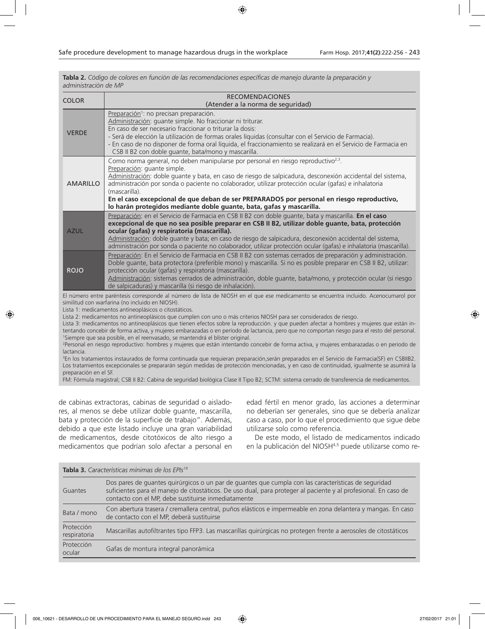| administración de MP |                                                                                                                                                                                                                                                                                                                                                                                                                                                                                                                                           |  |  |  |  |
|----------------------|-------------------------------------------------------------------------------------------------------------------------------------------------------------------------------------------------------------------------------------------------------------------------------------------------------------------------------------------------------------------------------------------------------------------------------------------------------------------------------------------------------------------------------------------|--|--|--|--|
| <b>COLOR</b>         | <b>RECOMENDACIONES</b>                                                                                                                                                                                                                                                                                                                                                                                                                                                                                                                    |  |  |  |  |
|                      | (Atender a la norma de seguridad)                                                                                                                                                                                                                                                                                                                                                                                                                                                                                                         |  |  |  |  |
| <b>VERDE</b>         | Preparación <sup>1</sup> : no precisan preparación.<br>Administración: quante simple. No fraccionar ni triturar.<br>En caso de ser necesario fraccionar o triturar la dosis:<br>- Será de elección la utilización de formas orales líquidas (consultar con el Servicio de Farmacia).<br>- En caso de no disponer de forma oral líquida, el fraccionamiento se realizará en el Servicio de Farmacia en<br>CSB II B2 con doble quante, bata/mono y mascarilla.                                                                              |  |  |  |  |
| <b>AMARILLO</b>      | Como norma general, no deben manipularse por personal en riesgo reproductivo <sup>2,3</sup> .<br>Preparación: quante simple.<br>Administración: doble quante y bata, en caso de riesgo de salpicadura, desconexión accidental del sistema,<br>administración por sonda o paciente no colaborador, utilizar protección ocular (gafas) e inhalatoria<br>(mascarilla).<br>En el caso excepcional de que deban de ser PREPARADOS por personal en riesgo reproductivo,<br>lo harán protegidos mediante doble guante, bata, gafas y mascarilla. |  |  |  |  |
| <b>AZUL</b>          | Preparación: en el Servicio de Farmacia en CSB II B2 con doble quante, bata y mascarilla. En el caso<br>excepcional de que no sea posible preparar en CSB II B2, utilizar doble guante, bata, protección<br>ocular (gafas) y respiratoria (mascarilla).<br>Administración: doble guante y bata; en caso de riesgo de salpicadura, desconexión accidental del sistema,<br>administración por sonda o paciente no colaborador, utilizar protección ocular (gafas) e inhalatoria (mascarilla).                                               |  |  |  |  |
| <b>ROJO</b>          | Preparación: En el Servicio de Farmacia en CSB II B2 con sistemas cerrados de preparación y administración.<br>Doble quante, bata protectora (preferible mono) y mascarilla. Si no es posible preparar en CSB II B2, utilizar:<br>protección ocular (gafas) y respiratoria (mascarilla).<br>Administración: sistemas cerrados de administración, doble guante, bata/mono, y protección ocular (si riesgo<br>de salpicaduras) y mascarilla (si riesgo de inhalación).                                                                      |  |  |  |  |

**Tabla 2.** *Código de colores en función de las recomendaciones específicas de manejo durante la preparación y* 

El número entre paréntesis corresponde al número de lista de NIOSH en el que ese medicamento se encuentra incluido. Acenocumarol por similitud con warfarina (no incluido en NIOSH).

Lista 1: medicamentos antineoplásicos o citostáticos.

Lista 2: medicamentos no antineoplásicos que cumplen con uno o más criterios NIOSH para ser considerados de riesgo.

Lista 3: medicamentos no antineoplásicos que tienen efectos sobre la reproducción. y que pueden afectar a hombres y mujeres que están intentando concebir de forma activa, y mujeres embarazadas o en período de lactancia, pero que no comportan riesgo para el resto del personal. 1 Siempre que sea posible, en el reenvasado, se mantendrá el blíster original.

2 Personal en riesgo reproductivo: hombres y mujeres que están intentando concebir de forma activa, y mujeres embarazadas o en periodo de lactancia.

3 En los tratamientos instaurados de forma continuada que requieran preparación,serán preparados en el Servicio de Farmacia(SF) en CSBIIB2. Los tratamientos excepcionales se prepararán según medidas de protección mencionadas, y en caso de continuidad, igualmente se asumirá la preparación en el SF.

FM: Fórmula magistral; CSB II B2: Cabina de seguridad biológica Clase II Tipo B2; SCTM: sistema cerrado de transferencia de medicamentos.

de cabinas extractoras, cabinas de seguridad o aisladores, al menos se debe utilizar doble guante, mascarilla, bata y protección de la superficie de trabajo". Además, debido a que este listado incluye una gran variabilidad de medicamentos, desde citotóxicos de alto riesgo a medicamentos que podrían solo afectar a personal en edad fértil en menor grado, las acciones a determinar no deberían ser generales, sino que se debería analizar caso a caso, por lo que el procedimiento que sigue debe utilizarse solo como referencia.

De este modo, el listado de medicamentos indicado en la publicación del NIOSH4,5 puede utilizarse como re-

|                            | Tabla 3. Características mínimas de los EPIs <sup>19</sup>                                                                                                                                                                                                                     |  |  |  |  |  |
|----------------------------|--------------------------------------------------------------------------------------------------------------------------------------------------------------------------------------------------------------------------------------------------------------------------------|--|--|--|--|--|
| Guantes                    | Dos pares de guantes quirúrgicos o un par de guantes que cumpla con las características de seguridad<br>suficientes para el manejo de citostáticos. De uso dual, para proteger al paciente y al profesional. En caso de<br>contacto con el MP, debe sustituirse inmediatamente |  |  |  |  |  |
| Bata / mono                | Con abertura trasera / cremallera central, puños elásticos e impermeable en zona delantera y mangas. En caso<br>de contacto con el MP, deberá sustituirse                                                                                                                      |  |  |  |  |  |
| Protección<br>respiratoria | Mascarillas autofiltrantes tipo FFP3. Las mascarillas quirúrgicas no protegen frente a aerosoles de citostáticos                                                                                                                                                               |  |  |  |  |  |
| Protección<br>ocular       | Gafas de montura integral panorámica                                                                                                                                                                                                                                           |  |  |  |  |  |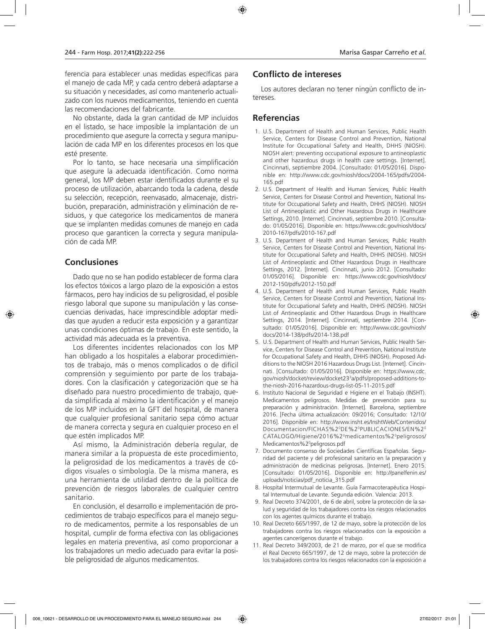ferencia para establecer unas medidas específicas para el manejo de cada MP, y cada centro deberá adaptarse a su situación y necesidades, así como mantenerlo actualizado con los nuevos medicamentos, teniendo en cuenta las recomendaciones del fabricante.

No obstante, dada la gran cantidad de MP incluidos en el listado, se hace imposible la implantación de un procedimiento que asegure la correcta y segura manipulación de cada MP en los diferentes procesos en los que esté presente.

Por lo tanto, se hace necesaria una simplificación que asegure la adecuada identificación. Como norma general, los MP deben estar identificados durante el su proceso de utilización, abarcando toda la cadena, desde su selección, recepción, reenvasado, almacenaje, distribución, preparación, administración y eliminación de residuos, y que categorice los medicamentos de manera que se implanten medidas comunes de manejo en cada proceso que garanticen la correcta y segura manipulación de cada MP.

### **Conclusiones**

Dado que no se han podido establecer de forma clara los efectos tóxicos a largo plazo de la exposición a estos fármacos, pero hay indicios de su peligrosidad, el posible riesgo laboral que supone su manipulación y las consecuencias derivadas, hace imprescindible adoptar medidas que ayuden a reducir esta exposición y a garantizar unas condiciones óptimas de trabajo. En este sentido, la actividad más adecuada es la preventiva.

Los diferentes incidentes relacionados con los MP han obligado a los hospitales a elaborar procedimientos de trabajo, más o menos complicados o de difícil comprensión y seguimiento por parte de los trabajadores. Con la clasificación y categorización que se ha diseñado para nuestro procedimiento de trabajo, queda simplificada al máximo la identificación y el manejo de los MP incluidos en la GFT del hospital, de manera que cualquier profesional sanitario sepa cómo actuar de manera correcta y segura en cualquier proceso en el que estén implicados MP.

Así mismo, la Administración debería regular, de manera similar a la propuesta de este procedimiento, la peligrosidad de los medicamentos a través de códigos visuales o simbología. De la misma manera, es una herramienta de utilidad dentro de la política de prevención de riesgos laborales de cualquier centro sanitario.

En conclusión, el desarrollo e implementación de procedimientos de trabajo específicos para el manejo seguro de medicamentos, permite a los responsables de un hospital, cumplir de forma efectiva con las obligaciones legales en materia preventiva, así como proporcionar a los trabajadores un medio adecuado para evitar la posible peligrosidad de algunos medicamentos.

### **Conflicto de intereses**

Los autores declaran no tener ningún conflicto de intereses.

### **Referencias**

- 1. U.S. Department of Health and Human Services, Public Health Service, Centers for Disease Control and Prevention, National Institute for Occupational Safety and Health, DHHS (NIOSH). NIOSH alert: preventing occupational exposure to antineoplastic and other hazardous drugs in health care settings. [Internet]. Cincinnati, septiembre 2004. [Consultado: 01/05/2016]. Disponible en: http://www.cdc.gov/niosh/docs/2004-165/pdfs/2004- 165.pdf
- 2. U.S. Department of Health and Human Services, Public Health Service, Centers for Disease Control and Prevention, National Institute for Occupational Safety and Health, DHHS (NIOSH). NIOSH List of Antineoplastic and Other Hazardous Drugs in Healthcare Settings, 2010. [Internet]. Cincinnati, septiembre 2010. [Consultado: 01/05/2016]. Disponible en: https://www.cdc.gov/niosh/docs/ 2010-167/pdfs/2010-167.pdf
- 3. U.S. Department of Health and Human Services, Public Health Service, Centers for Disease Control and Prevention, National Institute for Occupational Safety and Health, DHHS (NIOSH). NIOSH List of Antineoplastic and Other Hazardous Drugs in Healthcare Settings, 2012. [Internet]. Cincinnati, junio 2012. [Consultado: 01/05/2016]. Disponible en: https://www.cdc.gov/niosh/docs/ 2012-150/pdfs/2012-150.pdf
- 4. U.S. Department of Health and Human Services, Public Health Service, Centers for Disease Control and Prevention, National Institute for Occupational Safety and Health, DHHS (NIOSH). NIOSH List of Antineoplastic and Other Hazardous Drugs in Healthcare Settings, 2014. [Internet]. Cincinnati, septiembre 2014. [Consultado: 01/05/2016]. Disponible en: http://www.cdc.gov/niosh/ docs/2014-138/pdfs/2014-138.pdf
- 5. U.S. Department of Health and Human Services, Public Health Service, Centers for Disease Control and Prevention, National Institute for Occupational Safety and Health, DHHS (NIOSH). Proposed Additions to the NIOSH 2016 Hazardous Drugs List. [Internet]. Cincinnati. [Consultado: 01/05/2016]. Disponible en: https://www.cdc. gov/niosh/docket/review/docket233 a/pdfs/proposed-additions-tothe-niosh-2016-hazardous-drugs-list-05-11-2015.pdf
- 6. Instituto Nacional de Seguridad e Higiene en el Trabajo (INSHT). Medicamentos peligrosos. Medidas de prevención para su preparación y administración. [Internet]. Barcelona, septiembre 2016. [Fecha última actualización: 09/2016; Consultado: 12/10/ 2016]. Disponible en: http://www.insht.es/InshtWeb/Contenidos/ Documentacion/FICHAS%20DE%20PUBLICACIONES/EN%20 CATALOGO/Higiene/2016%20medicamentos%20peligrosos/ Medicamentos%2<sup>o</sup>peligrosos.pdf
- 7. Documento consenso de Sociedades Científicas Españolas. Seguridad del paciente y del profesional sanitario en la preparación y administración de medicinas peligrosas. [Internet]. Enero 2015. [Consultado: 01/05/2016]. Disponible en: http://panelfenin.es/ uploads/noticias/pdf\_noticia\_315.pdf
- 8. Hospital Intermutual de Levante. Guía Farmacoterapéutica Hospital Intermutual de Levante. Segunda edición. Valencia: 2013.
- 9. Real Decreto 374/2001, de 6 de abril, sobre la protección de la salud y seguridad de los trabajadores contra los riesgos relacionados con los agentes químicos durante el trabajo.
- 10. Real Decreto 665/1997, de 12 de mayo, sobre la protección de los trabajadores contra los riesgos relacionados con la exposición a agentes cancerígenos durante el trabajo.
- 11. Real Decreto 349/2003, de 21 de marzo, por el que se modifica el Real Decreto 665/1997, de 12 de mayo, sobre la protección de los trabajadores contra los riesgos relacionados con la exposición a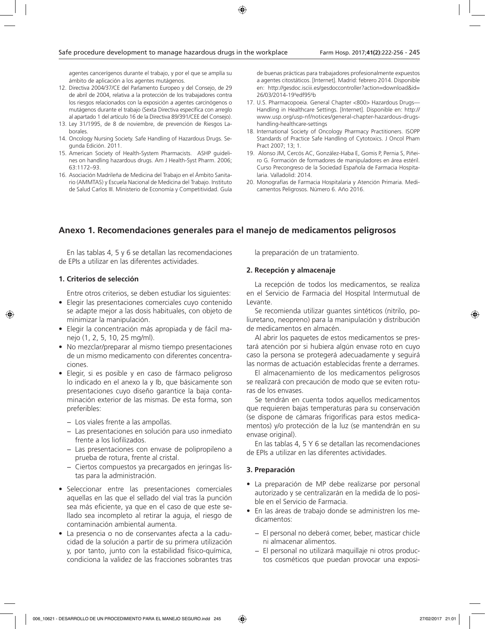agentes cancerígenos durante el trabajo, y por el que se amplía su ámbito de aplicación a los agentes mutágenos.

- 12. Directiva 2004/37/CE del Parlamento Europeo y del Consejo, de 29 de abril de 2004, relativa a la protección de los trabajadores contra los riesgos relacionados con la exposición a agentes carcinógenos o mutágenos durante el trabajo (Sexta Directiva específica con arreglo al apartado 1 del artículo 16 de la Directiva 89/391/CEE del Consejo).
- 13. Ley 31/1995, de 8 de noviembre, de prevención de Riesgos Laborales.
- 14. Oncology Nursing Society. Safe Handling of Hazardous Drugs. Segunda Edición. 2011.
- 15. American Society of Health-System Pharmacists. ASHP guidelines on handling hazardous drugs. Am J Health-Syst Pharm. 2006; 63:1172–93.
- 16. Asociación Madrileña de Medicina del Trabajo en el Ámbito Sanitario (AMMTAS) y Escuela Nacional de Medicina del Trabajo. Instituto de Salud Carlos III. Ministerio de Economía y Competitividad. Guía

de buenas prácticas para trabajadores profesionalmente expuestos a agentes citostáticos. [Internet]. Madrid: febrero 2014. Disponible en: http://gesdoc.isciii.es/gesdoccontroller?action=download&id= 26/03/2014-199 edf956 b

- 17. U.S. Pharmacopoeia. General Chapter <800> Hazardous Drugs— Handling in Healthcare Settings. [Internet]. Disponible en: http:// www.usp.org/usp-nf/notices/general-chapter-hazardous-drugshandling-healthcare-settings
- 18. International Society of Oncology Pharmacy Practitioners. ISOPP Standards of Practice Safe Handling of Cytotoxics. J Oncol Pham Pract 2007; 13; 1.
- 19. Alonso JM, Cercós AC, González-Haba E, Gomis P, Pernia S, Piñeiro G. Formación de formadores de manipuladores en área estéril. Curso Precongreso de la Sociedad Española de Farmacia Hospitalaria. Valladolid: 2014.
- 20. Monografías de Farmacia Hospitalaria y Atención Primaria. Medicamentos Peligrosos. Número 6. Año 2016.

### **Anexo 1. Recomendaciones generales para el manejo de medicamentos peligrosos**

En las tablas 4, 5 y 6 se detallan las recomendaciones de EPIs a utilizar en las diferentes actividades.

#### **1. Criterios de selección**

Entre otros criterios, se deben estudiar los siguientes:

- Elegir las presentaciones comerciales cuyo contenido se adapte mejor a las dosis habituales, con objeto de minimizar la manipulación.
- Elegir la concentración más apropiada y de fácil manejo (1, 2, 5, 10, 25 mg/ml).
- No mezclar/preparar al mismo tiempo presentaciones de un mismo medicamento con diferentes concentraciones.
- Elegir, si es posible y en caso de fármaco peligroso lo indicado en el anexo Ia y Ib, que básicamente son presentaciones cuyo diseño garantice la baja contaminación exterior de las mismas. De esta forma, son preferibles:
	- − Los viales frente a las ampollas.
	- − Las presentaciones en solución para uso inmediato frente a los liofilizados.
	- − Las presentaciones con envase de polipropileno a prueba de rotura, frente al cristal.
	- − Ciertos compuestos ya precargados en jeringas listas para la administración.
- Seleccionar entre las presentaciones comerciales aquellas en las que el sellado del vial tras la punción sea más eficiente, ya que en el caso de que este sellado sea incompleto al retirar la aguja, el riesgo de contaminación ambiental aumenta.
- La presencia o no de conservantes afecta a la caducidad de la solución a partir de su primera utilización y, por tanto, junto con la estabilidad físico-química, condiciona la validez de las fracciones sobrantes tras

la preparación de un tratamiento.

### **2. Recepción y almacenaje**

La recepción de todos los medicamentos, se realiza en el Servicio de Farmacia del Hospital Intermutual de Levante.

Se recomienda utilizar guantes sintéticos (nitrilo, poliuretano, neopreno) para la manipulación y distribución de medicamentos en almacén.

Al abrir los paquetes de estos medicamentos se prestará atención por si hubiera algún envase roto en cuyo caso la persona se protegerá adecuadamente y seguirá las normas de actuación establecidas frente a derrames.

El almacenamiento de los medicamentos peligrosos se realizará con precaución de modo que se eviten roturas de los envases.

Se tendrán en cuenta todos aquellos medicamentos que requieren bajas temperaturas para su conservación (se dispone de cámaras frigoríficas para estos medicamentos) y/o protección de la luz (se mantendrán en su envase original).

En las tablas 4, 5 Y 6 se detallan las recomendaciones de EPIs a utilizar en las diferentes actividades.

#### **3. Preparación**

- La preparación de MP debe realizarse por personal autorizado y se centralizarán en la medida de lo posible en el Servicio de Farmacia.
- En las áreas de trabajo donde se administren los medicamentos:
	- − El personal no deberá comer, beber, masticar chicle ni almacenar alimentos.
	- − El personal no utilizará maquillaje ni otros productos cosméticos que puedan provocar una exposi-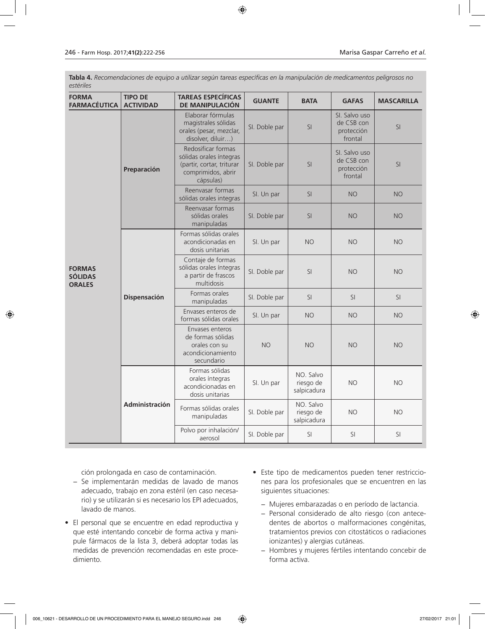**Tabla 4.** *Recomendaciones de equipo a utilizar según tareas específicas en la manipulación de medicamentos peligrosos no estériles*

| <b>FORMA</b><br><b>FARMACÉUTICA</b>              | <b>TIPO DE</b><br><b>ACTIVIDAD</b> | <b>TAREAS ESPECÍFICAS</b><br>DE MANIPULACIÓN                                                                  | <b>GUANTE</b> | <b>BATA</b>                           | <b>GAFAS</b>                                         | <b>MASCARILLA</b> |
|--------------------------------------------------|------------------------------------|---------------------------------------------------------------------------------------------------------------|---------------|---------------------------------------|------------------------------------------------------|-------------------|
|                                                  | Preparación                        | Elaborar fórmulas<br>magistrales sólidas<br>orales (pesar, mezclar,<br>disolver, diluir)                      | SI. Doble par | SI                                    | SI. Salvo uso<br>de CSB con<br>protección<br>frontal | SI                |
|                                                  |                                    | Redosificar formas<br>sólidas orales íntegras<br>(partir, cortar, triturar<br>comprimidos, abrir<br>cápsulas) | SI. Doble par | SI                                    | SI. Salvo uso<br>de CSB con<br>protección<br>frontal | SI                |
|                                                  |                                    | Reenvasar formas<br>sólidas orales integras                                                                   | SI. Un par    | SI                                    | <b>NO</b>                                            | <b>NO</b>         |
|                                                  |                                    | Reenvasar formas<br>sólidas orales<br>manipuladas                                                             | SI. Doble par | SI                                    | <b>NO</b>                                            | <b>NO</b>         |
|                                                  |                                    | Formas sólidas orales<br>acondicionadas en<br>dosis unitarias                                                 | SI. Un par    | <b>NO</b>                             | <b>NO</b>                                            | <b>NO</b>         |
| <b>FORMAS</b><br><b>SÓLIDAS</b><br><b>ORALES</b> | <b>Dispensación</b>                | Contaje de formas<br>sólidas orales íntegras<br>a partir de frascos<br>multidosis                             | SI. Doble par | SI                                    | <b>NO</b>                                            | <b>NO</b>         |
|                                                  |                                    | Formas orales<br>manipuladas                                                                                  | SI. Doble par | SI                                    | SI                                                   | SI                |
|                                                  |                                    | Envases enteros de<br>formas sólidas orales                                                                   | SI. Un par    | <b>NO</b>                             | <b>NO</b>                                            | <b>NO</b>         |
|                                                  |                                    | Envases enteros<br>de formas sólidas<br>orales con su<br>acondicionamiento<br>secundario                      | <b>NO</b>     | <b>NO</b>                             | <b>NO</b>                                            | <b>NO</b>         |
|                                                  | Administración                     | Formas sólidas<br>orales íntegras<br>acondicionadas en<br>dosis unitarias                                     | SI. Un par    | NO. Salvo<br>riesgo de<br>salpicadura | <b>NO</b>                                            | <b>NO</b>         |
|                                                  |                                    | Formas sólidas orales<br>SI. Doble par<br>manipuladas                                                         |               | NO. Salvo<br>riesgo de<br>salpicadura | <b>NO</b>                                            | <b>NO</b>         |
|                                                  |                                    | Polvo por inhalación/<br>aerosol                                                                              | SI. Doble par | SI                                    | SI                                                   | SI                |

ción prolongada en caso de contaminación.

- − Se implementarán medidas de lavado de manos adecuado, trabajo en zona estéril (en caso necesario) y se utilizarán si es necesario los EPI adecuados, lavado de manos.
- El personal que se encuentre en edad reproductiva y que esté intentando concebir de forma activa y manipule fármacos de la lista 3, deberá adoptar todas las medidas de prevención recomendadas en este procedimiento.
- Este tipo de medicamentos pueden tener restricciones para los profesionales que se encuentren en las siguientes situaciones:
	- − Mujeres embarazadas o en período de lactancia.
	- − Personal considerado de alto riesgo (con antecedentes de abortos o malformaciones congénitas, tratamientos previos con citostáticos o radiaciones ionizantes) y alergias cutáneas.
	- − Hombres y mujeres fértiles intentando concebir de forma activa.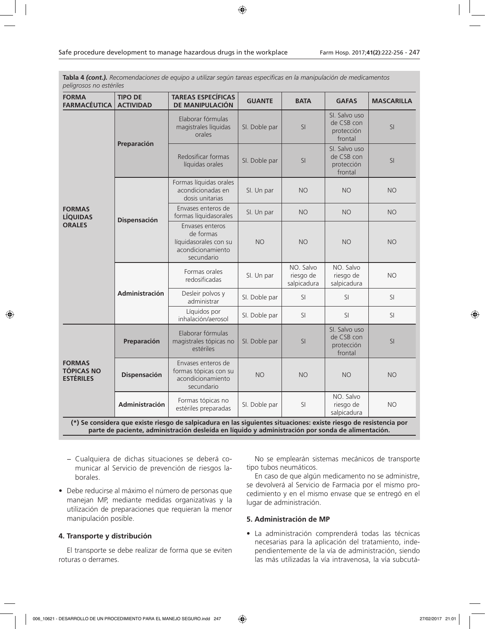**Tabla 4** *(cont.). Recomendaciones de equipo a utilizar según tareas específicas en la manipulación de medicamentos peligrosos no estériles*

| <b>FORMA</b><br><b>FARMACÉUTICA</b>                                                                                                                                                                                    | <b>TIPO DE</b><br><b>ACTIVIDAD</b> | <b>TAREAS ESPECÍFICAS</b><br>DE MANIPULACIÓN                                             | <b>GUANTE</b> | <b>BATA</b>                           | <b>GAFAS</b>                                         | <b>MASCARILLA</b> |
|------------------------------------------------------------------------------------------------------------------------------------------------------------------------------------------------------------------------|------------------------------------|------------------------------------------------------------------------------------------|---------------|---------------------------------------|------------------------------------------------------|-------------------|
|                                                                                                                                                                                                                        | Preparación                        | Elaborar fórmulas<br>magistrales líquidas<br>orales                                      | SI. Doble par | SI                                    | SI. Salvo uso<br>de CSB con<br>protección<br>frontal | SI                |
|                                                                                                                                                                                                                        |                                    | Redosificar formas<br>líquidas orales                                                    | SI. Doble par | SI                                    | SI. Salvo uso<br>de CSB con<br>protección<br>frontal | SI                |
|                                                                                                                                                                                                                        |                                    | Formas líquidas orales<br>acondicionadas en<br>dosis unitarias                           | SI. Un par    | <b>NO</b>                             | <b>NO</b>                                            | <b>NO</b>         |
| <b>FORMAS</b><br><b>LÍQUIDAS</b>                                                                                                                                                                                       | <b>Dispensación</b>                | Envases enteros de<br>formas líquidasorales                                              | SI. Un par    | <b>NO</b>                             | <b>NO</b>                                            | <b>NO</b>         |
| <b>ORALES</b>                                                                                                                                                                                                          |                                    | Envases enteros<br>de formas<br>líquidasorales con su<br>acondicionamiento<br>secundario | <b>NO</b>     | <b>NO</b>                             | <b>NO</b>                                            | <b>NO</b>         |
|                                                                                                                                                                                                                        | Administración                     | Formas orales<br>redosificadas                                                           | SI. Un par    | NO. Salvo<br>riesgo de<br>salpicadura | NO. Salvo<br>riesgo de<br>salpicadura                | <b>NO</b>         |
|                                                                                                                                                                                                                        |                                    | Desleir polvos y<br>administrar                                                          | SI. Doble par | SI.                                   | SI.                                                  | SI                |
|                                                                                                                                                                                                                        |                                    | Líquidos por<br>inhalación/aerosol                                                       | SI. Doble par | SI                                    | SI                                                   | SI                |
|                                                                                                                                                                                                                        | Preparación                        | Elaborar fórmulas<br>magistrales tópicas no<br>estériles                                 | SI. Doble par | SI                                    | SI. Salvo uso<br>de CSB con<br>protección<br>frontal | SI                |
| <b>FORMAS</b><br><b>TÓPICAS NO</b><br><b>ESTÉRILES</b>                                                                                                                                                                 | <b>Dispensación</b>                | Envases enteros de<br>formas tópicas con su<br>acondicionamiento<br>secundario           | <b>NO</b>     | <b>NO</b>                             | <b>NO</b>                                            | <b>NO</b>         |
|                                                                                                                                                                                                                        | Administración                     | Formas tópicas no<br>estériles preparadas                                                | SI. Doble par | SI                                    | NO. Salvo<br>riesgo de<br>salpicadura                | <b>NO</b>         |
| (*) Se considera que existe riesgo de salpicadura en las siguientes situaciones: existe riesgo de resistencia por<br>parte de paciente, administración desleída en líquido y administración por sonda de alimentación. |                                    |                                                                                          |               |                                       |                                                      |                   |

- − Cualquiera de dichas situaciones se deberá comunicar al Servicio de prevención de riesgos laborales.
- Debe reducirse al máximo el número de personas que manejan MP, mediante medidas organizativas y la utilización de preparaciones que requieran la menor manipulación posible.

### **4. Transporte y distribución**

El transporte se debe realizar de forma que se eviten roturas o derrames.

No se emplearán sistemas mecánicos de transporte tipo tubos neumáticos.

En caso de que algún medicamento no se administre, se devolverá al Servicio de Farmacia por el mismo procedimiento y en el mismo envase que se entregó en el lugar de administración.

### **5. Administración de MP**

• La administración comprenderá todas las técnicas necesarias para la aplicación del tratamiento, independientemente de la vía de administración, siendo las más utilizadas la vía intravenosa, la vía subcutá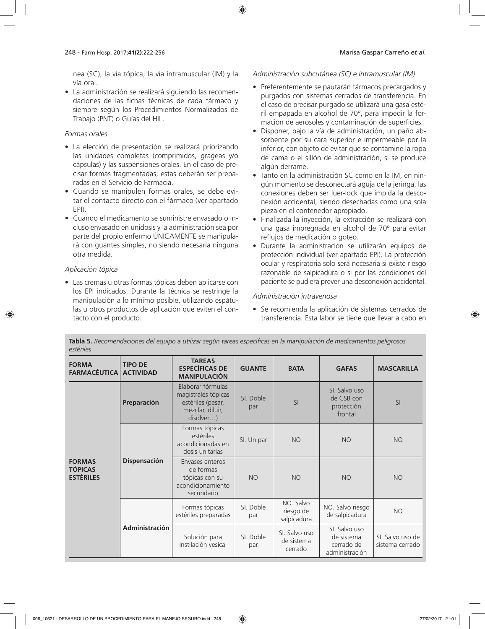nea (SC), la vía tópica, la vía intramuscular (IM) y la vía oral.

• La administración se realizará siguiendo las recomendaciones de las fichas técnicas de cada fármaco y siempre según los Procedimientos Normalizados de Trabajo (PNT) o Guías del HIL.

### *Formas orales*

- La elección de presentación se realizará priorizando las unidades completas (comprimidos, grageas y/o cápsulas) y las suspensiones orales. En el caso de precisar formas fragmentadas, estas deberán ser preparadas en el Servicio de Farmacia.
- Cuando se manipulen formas orales, se debe evitar el contacto directo con el fármaco (ver apartado EPI).
- Cuando el medicamento se suministre envasado o incluso envasado en unidosis y la administración sea por parte del propio enfermo ÚNICAMENTE se manipulará con guantes simples, no siendo necesaria ninguna otra medida.

### *Aplicación tópica*

• Las cremas u otras formas tópicas deben aplicarse con los EPI indicados. Durante la técnica se restringe la manipulación a lo mínimo posible, utilizando espátulas u otros productos de aplicación que eviten el contacto con el producto.

*Administración subcutánea (SC) e intramuscular (IM)*

- Preferentemente se pautarán fármacos precargados y purgados con sistemas cerrados de transferencia. En el caso de precisar purgado se utilizará una gasa estéril empapada en alcohol de 70º, para impedir la formación de aerosoles y contaminación de superficies.
- Disponer, bajo la vía de administración, un paño absorbente por su cara superior e impermeable por la inferior, con objeto de evitar que se contamine la ropa de cama o el sillón de administración, si se produce algún derrame.
- Tanto en la administración SC como en la IM, en ningún momento se desconectará aguja de la jeringa, las conexiones deben ser luer-lock que impida la desconexión accidental, siendo desechadas como una sola pieza en el contenedor apropiado.
- Finalizada la inyección, la extracción se realizará con una gasa impregnada en alcohol de 70º para evitar reflujos de medicación o goteo.
- Durante la administración se utilizarán equipos de protección individual (ver apartado EPI). La protección ocular y respiratoria solo será necesaria si existe riesgo razonable de salpicadura o si por las condiciones del paciente se pudiera prever una desconexión accidental.

### *Administración intravenosa*

• Se recomienda la aplicación de sistemas cerrados de transferencia. Esta labor se tiene que llevar a cabo en

| <b>FORMA</b><br><b>FARMACÉUTICA</b>                 | <b>TIPO DE</b><br><b>ACTIVIDAD</b> | <b>TAREAS</b><br><b>ESPECÍFICAS DE</b><br><b>MANIPULACIÓN</b>                                  | <b>GUANTE</b>    | <b>BATA</b>                            | <b>GAFAS</b>                                                | <b>MASCARILLA</b>                   |  |
|-----------------------------------------------------|------------------------------------|------------------------------------------------------------------------------------------------|------------------|----------------------------------------|-------------------------------------------------------------|-------------------------------------|--|
| <b>FORMAS</b><br><b>TÓPICAS</b><br><b>ESTÉRILES</b> | Preparación                        | Elaborar fórmulas<br>magistrales tópicas<br>estériles (pesar,<br>mezclar, diluir,<br>disolver) | SI. Doble<br>par | SI                                     | SI. Salvo uso<br>de CSB con<br>protección<br>frontal        | SI                                  |  |
|                                                     | <b>Dispensación</b>                | Formas tópicas<br>estériles<br>acondicionadas en<br>dosis unitarias                            | SI. Un par       | <b>NO</b>                              | <b>NO</b>                                                   | <b>NO</b>                           |  |
|                                                     |                                    | Envases enteros<br>de formas<br>tópicas con su<br>acondicionamiento<br>secundario              | <b>NO</b>        | <b>NO</b>                              | <b>NO</b>                                                   | <b>NO</b>                           |  |
|                                                     | <b>Administración</b>              | Formas tópicas<br>estériles preparadas                                                         | SI. Doble<br>par | NO. Salvo<br>riesgo de<br>salpicadura  | NO. Salvo riesgo<br>de salpicadura                          | <b>NO</b>                           |  |
|                                                     |                                    | Solución para<br>instilación vesical                                                           | SI. Doble<br>par | SI. Salvo uso<br>de sistema<br>cerrado | SI. Salvo uso<br>de sistema<br>cerrado de<br>administración | SI. Salvo uso de<br>sistema cerrado |  |

**Tabla 5.** *Recomendaciones del equipo a utilizar según tareas específicas en la manipulación de medicamentos peligrosos estériles*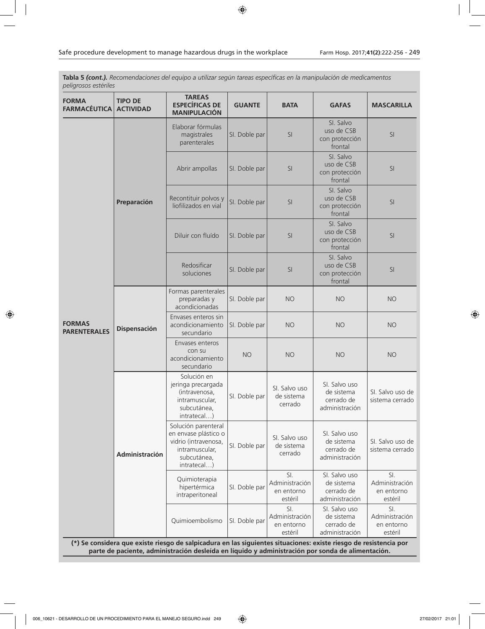**Tabla 5** *(cont.). Recomendaciones del equipo a utilizar según tareas específicas en la manipulación de medicamentos peligrosos estériles*

| <b>FORMA</b><br><b>FARMACÉUTICA</b>                                                                                                                                                                                    | <b>TIPO DE</b><br><b>ACTIVIDAD</b> | <b>TAREAS</b><br><b>ESPECÍFICAS DE</b><br><b>MANIPULACIÓN</b>                                                       | <b>GUANTE</b> | <b>BATA</b>                                    | <b>GAFAS</b>                                                | <b>MASCARILLA</b>                              |
|------------------------------------------------------------------------------------------------------------------------------------------------------------------------------------------------------------------------|------------------------------------|---------------------------------------------------------------------------------------------------------------------|---------------|------------------------------------------------|-------------------------------------------------------------|------------------------------------------------|
|                                                                                                                                                                                                                        |                                    | Elaborar fórmulas<br>magistrales<br>parenterales                                                                    | SI. Doble par | SI                                             | SI. Salvo<br>uso de CSB<br>con protección<br>frontal        | SI                                             |
|                                                                                                                                                                                                                        |                                    | Abrir ampollas                                                                                                      | SI. Doble par | <b>SI</b>                                      | SI. Salvo<br>uso de CSB<br>con protección<br>frontal        | SI                                             |
|                                                                                                                                                                                                                        | Preparación                        | Recontituir polvos y<br>liofilizados en vial                                                                        | SI. Doble par | SI                                             | SI. Salvo<br>uso de CSB<br>con protección<br>frontal        | SI                                             |
|                                                                                                                                                                                                                        |                                    | Diluir con fluído                                                                                                   | SI. Doble par | <sub>SI</sub>                                  | SI. Salvo<br>uso de CSB<br>con protección<br>frontal        | SI                                             |
|                                                                                                                                                                                                                        |                                    | Redosificar<br>soluciones                                                                                           | SI. Doble par | SI                                             | SI. Salvo<br>uso de CSB<br>con protección<br>frontal        | SI                                             |
| <b>FORMAS</b><br><b>PARENTERALES</b>                                                                                                                                                                                   | <b>Dispensación</b>                | Formas parenterales<br>preparadas y<br>acondicionadas                                                               | SI. Doble par | <b>NO</b>                                      | <b>NO</b>                                                   | <b>NO</b>                                      |
|                                                                                                                                                                                                                        |                                    | Envases enteros sin<br>acondicionamiento<br>secundario                                                              | SI. Doble par | <b>NO</b>                                      | <b>NO</b>                                                   | <b>NO</b>                                      |
|                                                                                                                                                                                                                        |                                    | Envases enteros<br>con su<br>acondicionamiento<br>secundario                                                        | <b>NO</b>     | <b>NO</b>                                      | <b>NO</b>                                                   | <b>NO</b>                                      |
|                                                                                                                                                                                                                        | Administración                     | Solución en<br>jeringa precargada<br>(intravenosa,<br>intramuscular,<br>subcutánea,<br>intratecal)                  | SI. Doble par | SI. Salvo uso<br>de sistema<br>cerrado         | SI. Salvo uso<br>de sistema<br>cerrado de<br>administración | SI. Salvo uso de<br>sistema cerrado            |
|                                                                                                                                                                                                                        |                                    | Solución parenteral<br>en envase plástico o<br>vidrio (intravenosa,<br>intramuscular,<br>subcutánea,<br>intratecal) | SI. Doble par | SI. Salvo uso<br>de sistema<br>cerrado         | SI. Salvo uso<br>de sistema<br>cerrado de<br>administración | SI. Salvo uso de<br>sistema cerrado            |
|                                                                                                                                                                                                                        |                                    | Quimioterapia<br>hipertérmica<br>intraperitoneal                                                                    | SI. Doble par | SI.<br>Administración<br>en entorno<br>estéril | SI. Salvo uso<br>de sistema<br>cerrado de<br>administración | SI.<br>Administración<br>en entorno<br>estéril |
|                                                                                                                                                                                                                        |                                    | Quimioembolismo                                                                                                     | SI. Doble par | SI.<br>Administración<br>en entorno<br>estéril | SI. Salvo uso<br>de sistema<br>cerrado de<br>administración | SI.<br>Administración<br>en entorno<br>estéril |
| (*) Se considera que existe riesgo de salpicadura en las siguientes situaciones: existe riesgo de resistencia por<br>parte de paciente, administración desleída en líquido y administración por sonda de alimentación. |                                    |                                                                                                                     |               |                                                |                                                             |                                                |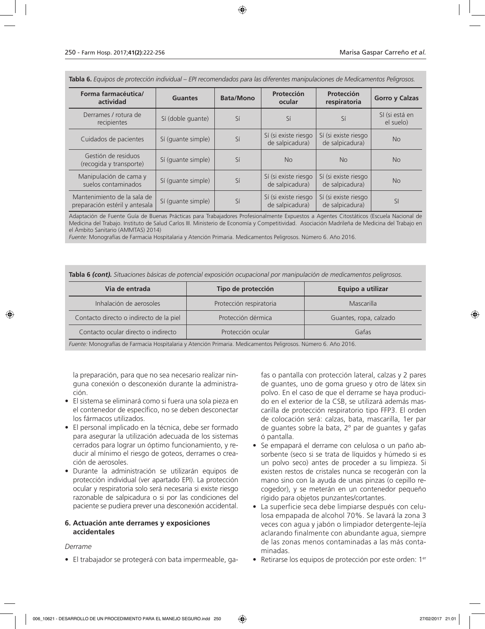**Tabla 6.** *Equipos de protección individual – EPI recomendados para las diferentes manipulaciones de Medicamentos Peligrosos.*

| Forma farmacéutica/<br>actividad                              | <b>Guantes</b>     | <b>Bata/Mono</b> | Protección<br>ocular                    | Protección<br>respiratoria              | <b>Gorro y Calzas</b>       |
|---------------------------------------------------------------|--------------------|------------------|-----------------------------------------|-----------------------------------------|-----------------------------|
| Derrames / rotura de<br>recipientes                           | Sí (doble guante)  | Sí               | Sí                                      | Sí                                      | SI (si está en<br>el suelo) |
| Cuidados de pacientes                                         | Sí (quante simple) | Sí               | Sí (si existe riesgo<br>de salpicadura) | Sí (si existe riesgo<br>de salpicadura) | <b>No</b>                   |
| Gestión de residuos<br>(recogida y transporte)                | Sí (quante simple) | Sí               | <b>No</b>                               | <b>No</b>                               | <b>No</b>                   |
| Manipulación de cama y<br>suelos contaminados                 | Sí (quante simple) | Sí               | Sí (si existe riesgo<br>de salpicadura) | Sí (si existe riesgo<br>de salpicadura) | <b>No</b>                   |
| Mantenimiento de la sala de<br>preparación estéril y antesala | Sí (quante simple) | Sí               | Sí (si existe riesgo<br>de salpicadura) | Sí (si existe riesgo<br>de salpicadura) | <b>SI</b>                   |

Adaptación de Fuente Guía de Buenas Prácticas para Trabajadores Profesionalmente Expuestos a Agentes Citostáticos (Escuela Nacional de Medicina del Trabajo. Instituto de Salud Carlos III. Ministerio de Economía y Competitividad. Asociación Madrileña de Medicina del Trabajo en el Ámbito Sanitario (AMMTAS) 2014)

*Fuente:* Monografías de Farmacia Hospitalaria y Atención Primaria. Medicamentos Peligrosos. Número 6. Año 2016.

**Tabla 6** *(cont). Situaciones básicas de potencial exposición ocupacional por manipulación de medicamentos peligrosos.*

| Via de entrada                                                                                                | Tipo de protección      | Equipo a utilizar      |  |  |  |
|---------------------------------------------------------------------------------------------------------------|-------------------------|------------------------|--|--|--|
| Inhalación de aerosoles                                                                                       | Protección respiratoria | Mascarilla             |  |  |  |
| Contacto directo o indirecto de la piel                                                                       | Protección dérmica      | Guantes, ropa, calzado |  |  |  |
| Contacto ocular directo o indirecto<br>Protección ocular<br>Gafas                                             |                         |                        |  |  |  |
| Eugato: Monografías de Earmacia Hospitalaria y Atención Primaria, Medicamentos Peligrosos, Número 6, Año 2016 |                         |                        |  |  |  |

*Fuente:* Monografías de Farmacia Hospitalaria y Atención Primaria. Medicamentos Peligrosos. Número 6. Año 2016.

la preparación, para que no sea necesario realizar ninguna conexión o desconexión durante la administración.

- El sistema se eliminará como si fuera una sola pieza en el contenedor de específico, no se deben desconectar los fármacos utilizados.
- El personal implicado en la técnica, debe ser formado para asegurar la utilización adecuada de los sistemas cerrados para lograr un óptimo funcionamiento, y reducir al mínimo el riesgo de goteos, derrames o creación de aerosoles.
- Durante la administración se utilizarán equipos de protección individual (ver apartado EPI). La protección ocular y respiratoria solo será necesaria si existe riesgo razonable de salpicadura o si por las condiciones del paciente se pudiera prever una desconexión accidental.

### **6. Actuación ante derrames y exposiciones accidentales**

#### *Derrame*

• El trabajador se protegerá con bata impermeable, ga-

fas o pantalla con protección lateral, calzas y 2 pares de guantes, uno de goma grueso y otro de látex sin polvo. En el caso de que el derrame se haya producido en el exterior de la CSB, se utilizará además mascarilla de protección respiratorio tipo FFP3. El orden de colocación será: calzas, bata, mascarilla, 1er par de guantes sobre la bata, 2º par de guantes y gafas ó pantalla.

- Se empapará el derrame con celulosa o un paño absorbente (seco si se trata de líquidos y húmedo si es un polvo seco) antes de proceder a su limpieza. Si existen restos de cristales nunca se recogerán con la mano sino con la ayuda de unas pinzas (o cepillo recogedor), y se meterán en un contenedor pequeño rígido para objetos punzantes/cortantes.
- La superficie seca debe limpiarse después con celulosa empapada de alcohol 70%. Se lavará la zona 3 veces con agua y jabón o limpiador detergente-lejía aclarando finalmente con abundante agua, siempre de las zonas menos contaminadas a las más contaminadas.
- Retirarse los equipos de protección por este orden: 1<sup>er</sup>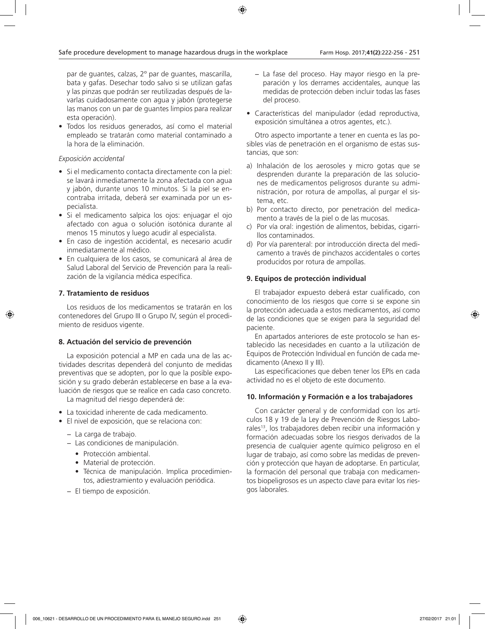par de guantes, calzas, 2º par de guantes, mascarilla, bata y gafas. Desechar todo salvo si se utilizan gafas y las pinzas que podrán ser reutilizadas después de lavarlas cuidadosamente con agua y jabón (protegerse las manos con un par de guantes limpios para realizar esta operación).

• Todos los residuos generados, así como el material empleado se tratarán como material contaminado a la hora de la eliminación.

### *Exposición accidental*

- Si el medicamento contacta directamente con la piel: se lavará inmediatamente la zona afectada con agua y jabón, durante unos 10 minutos. Si la piel se encontraba irritada, deberá ser examinada por un especialista.
- Si el medicamento salpica los ojos: enjuagar el ojo afectado con agua o solución isotónica durante al menos 15 minutos y luego acudir al especialista.
- En caso de ingestión accidental, es necesario acudir inmediatamente al médico.
- En cualquiera de los casos, se comunicará al área de Salud Laboral del Servicio de Prevención para la realización de la vigilancia médica específica.

### **7. Tratamiento de residuos**

Los residuos de los medicamentos se tratarán en los contenedores del Grupo III o Grupo IV, según el procedimiento de residuos vigente.

### **8. Actuación del servicio de prevención**

La exposición potencial a MP en cada una de las actividades descritas dependerá del conjunto de medidas preventivas que se adopten, por lo que la posible exposición y su grado deberán establecerse en base a la evaluación de riesgos que se realice en cada caso concreto.

La magnitud del riesgo dependerá de:

- La toxicidad inherente de cada medicamento.
- El nivel de exposición, que se relaciona con:
	- − La carga de trabajo.
	- − Las condiciones de manipulación.
		- Protección ambiental.
		- Material de protección.
		- Técnica de manipulación. Implica procedimientos, adiestramiento y evaluación periódica.
	- − El tiempo de exposición.
- − La fase del proceso. Hay mayor riesgo en la preparación y los derrames accidentales, aunque las medidas de protección deben incluir todas las fases del proceso.
- Características del manipulador (edad reproductiva, exposición simultánea a otros agentes, etc.).

Otro aspecto importante a tener en cuenta es las posibles vías de penetración en el organismo de estas sustancias, que son:

- a) Inhalación de los aerosoles y micro gotas que se desprenden durante la preparación de las soluciones de medicamentos peligrosos durante su administración, por rotura de ampollas, al purgar el sistema, etc.
- b) Por contacto directo, por penetración del medicamento a través de la piel o de las mucosas.
- c) Por vía oral: ingestión de alimentos, bebidas, cigarrillos contaminados.
- d) Por vía parenteral: por introducción directa del medicamento a través de pinchazos accidentales o cortes producidos por rotura de ampollas.

### **9. Equipos de protección individual**

El trabajador expuesto deberá estar cualificado, con conocimiento de los riesgos que corre si se expone sin la protección adecuada a estos medicamentos, así como de las condiciones que se exigen para la seguridad del paciente.

En apartados anteriores de este protocolo se han establecido las necesidades en cuanto a la utilización de Equipos de Protección Individual en función de cada medicamento (Anexo II y III).

Las especificaciones que deben tener los EPIs en cada actividad no es el objeto de este documento.

### **10. Información y Formación e a los trabajadores**

Con carácter general y de conformidad con los artículos 18 y 19 de la Ley de Prevención de Riesgos Laborales<sup>13</sup>, los trabajadores deben recibir una información y formación adecuadas sobre los riesgos derivados de la presencia de cualquier agente químico peligroso en el lugar de trabajo, así como sobre las medidas de prevención y protección que hayan de adoptarse. En particular, la formación del personal que trabaja con medicamentos biopeligrosos es un aspecto clave para evitar los riesgos laborales.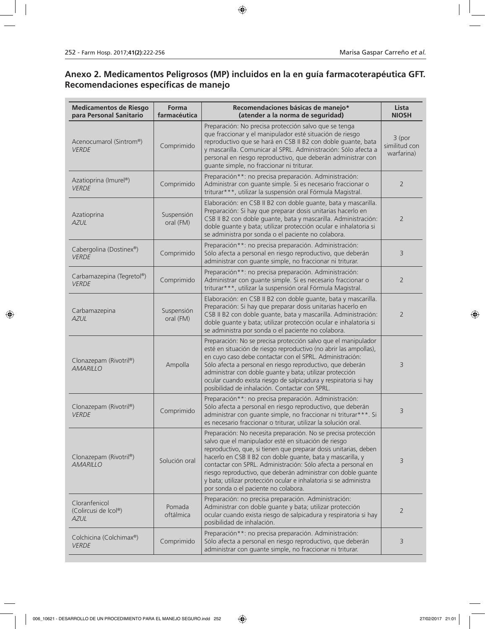# **Anexo 2. Medicamentos Peligrosos (MP) incluidos en la en guía farmacoterapéutica GFT. Recomendaciones específicas de manejo**

| <b>Medicamentos de Riesgo</b><br>para Personal Sanitario | <b>Forma</b><br>farmacéutica | Recomendaciones básicas de manejo*<br>(atender a la norma de seguridad)                                                                                                                                                                                                                                                                                                                                                                                                                                  | Lista<br><b>NIOSH</b>                 |
|----------------------------------------------------------|------------------------------|----------------------------------------------------------------------------------------------------------------------------------------------------------------------------------------------------------------------------------------------------------------------------------------------------------------------------------------------------------------------------------------------------------------------------------------------------------------------------------------------------------|---------------------------------------|
| Acenocumarol (Sintrom®)<br><b>VERDE</b>                  | Comprimido                   | Preparación: No precisa protección salvo que se tenga<br>que fraccionar y el manipulador esté situación de riesgo<br>reproductivo que se hará en CSB II B2 con doble quante, bata<br>y mascarilla. Comunicar al SPRL. Administración: Sólo afecta a<br>personal en riesgo reproductivo, que deberán administrar con<br>guante simple, no fraccionar ni triturar.                                                                                                                                         | 3 (por<br>similitud con<br>warfarina) |
| Azatioprina (Imurel®)<br><b>VERDE</b>                    | Comprimido                   | Preparación**: no precisa preparación. Administración:<br>Administrar con guante simple. Si es necesario fraccionar o<br>triturar***, utilizar la suspensión oral Fórmula Magistral.                                                                                                                                                                                                                                                                                                                     | $\overline{2}$                        |
| Azatioprina<br><b>AZUL</b>                               | Suspensión<br>oral (FM)      | Elaboración: en CSB II B2 con doble guante, bata y mascarilla.<br>Preparación: Si hay que preparar dosis unitarias hacerlo en<br>CSB II B2 con doble guante, bata y mascarilla. Administración:<br>doble guante y bata; utilizar protección ocular e inhalatoria si<br>se administra por sonda o el paciente no colabora.                                                                                                                                                                                | $\overline{2}$                        |
| Cabergolina (Dostinex®)<br><b>VERDE</b>                  | Comprimido                   | Preparación**: no precisa preparación. Administración:<br>Sólo afecta a personal en riesgo reproductivo, que deberán<br>administrar con quante simple, no fraccionar ni triturar.                                                                                                                                                                                                                                                                                                                        | 3                                     |
| Carbamazepina (Tegretol®)<br>VFRDF                       | Comprimido                   | Preparación**: no precisa preparación. Administración:<br>Administrar con guante simple. Si es necesario fraccionar o<br>triturar***, utilizar la suspensión oral Fórmula Magistral.                                                                                                                                                                                                                                                                                                                     | $\overline{2}$                        |
| Carbamazepina<br><b>AZUL</b>                             | Suspensión<br>oral (FM)      | Elaboración: en CSB II B2 con doble guante, bata y mascarilla.<br>Preparación: Si hay que preparar dosis unitarias hacerlo en<br>CSB II B2 con doble guante, bata y mascarilla. Administración:<br>doble guante y bata; utilizar protección ocular e inhalatoria si<br>se administra por sonda o el paciente no colabora.                                                                                                                                                                                | $\overline{2}$                        |
| Clonazepam (Rivotril®)<br><b>AMARILLO</b>                | Ampolla                      | Preparación: No se precisa protección salvo que el manipulador<br>esté en situación de riesgo reproductivo (no abrir las ampollas),<br>en cuyo caso debe contactar con el SPRL. Administración:<br>Sólo afecta a personal en riesgo reproductivo, que deberán<br>administrar con doble guante y bata; utilizar protección<br>ocular cuando exista riesgo de salpicadura y respiratoria si hay<br>posibilidad de inhalación. Contactar con SPRL.                                                          | 3                                     |
| Clonazepam (Rivotril®)<br><b>VERDE</b>                   | Comprimido                   | Preparación**: no precisa preparación. Administración:<br>Sólo afecta a personal en riesgo reproductivo, que deberán<br>administrar con guante simple, no fraccionar ni triturar***. Si<br>es necesario fraccionar o triturar, utilizar la solución oral.                                                                                                                                                                                                                                                | 3                                     |
| Clonazepam (Rivotril®)<br><b>AMARILLO</b>                | Solución oral                | Preparación: No necesita preparación. No se precisa protección<br>salvo que el manipulador esté en situación de riesgo<br>reproductivo, que, si tienen que preparar dosis unitarias, deben<br>hacerlo en CSB II B2 con doble guante, bata y mascarilla, y<br>contactar con SPRL. Administración: Sólo afecta a personal en<br>riesgo reproductivo, que deberán administrar con doble guante<br>y bata; utilizar protección ocular e inhalatoria si se administra<br>por sonda o el paciente no colabora. | 3                                     |
| Cloranfenicol<br>(Colircusi de Icol®)<br><b>AZUL</b>     | Pomada<br>oftálmica          | Preparación: no precisa preparación. Administración:<br>Administrar con doble guante y bata; utilizar protección<br>ocular cuando exista riesgo de salpicadura y respiratoria si hay<br>posibilidad de inhalación.                                                                                                                                                                                                                                                                                       | $\overline{2}$                        |
| Colchicina (Colchimax®)<br><b>VERDE</b>                  | Comprimido                   | Preparación**: no precisa preparación. Administración:<br>Sólo afecta a personal en riesgo reproductivo, que deberán<br>administrar con guante simple, no fraccionar ni triturar.                                                                                                                                                                                                                                                                                                                        | 3                                     |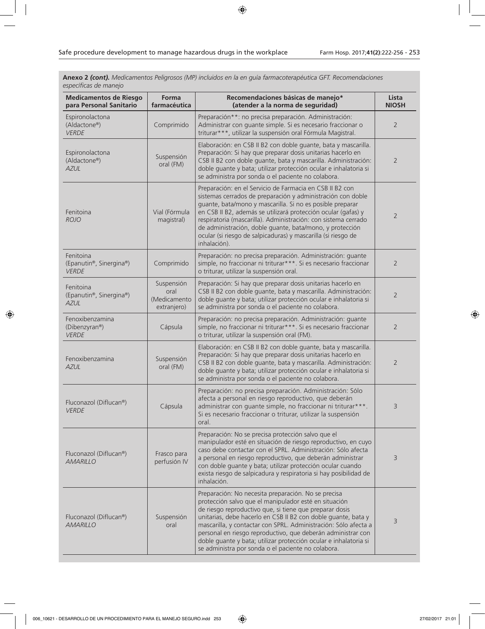**Anexo 2** *(cont). Medicamentos Peligrosos (MP) incluidos en la en guía farmacoterapéutica GFT. Recomendaciones específicas de manejo*

| <b>Medicamentos de Riesgo</b><br>para Personal Sanitario | Forma<br>farmacéutica                             | Recomendaciones básicas de manejo*<br>(atender a la norma de seguridad)                                                                                                                                                                                                                                                                                                                                                                                                                               | Lista<br><b>NIOSH</b> |
|----------------------------------------------------------|---------------------------------------------------|-------------------------------------------------------------------------------------------------------------------------------------------------------------------------------------------------------------------------------------------------------------------------------------------------------------------------------------------------------------------------------------------------------------------------------------------------------------------------------------------------------|-----------------------|
| Espironolactona<br>(Aldactone®)<br><b>VERDE</b>          | Comprimido                                        | Preparación**: no precisa preparación. Administración:<br>Administrar con guante simple. Si es necesario fraccionar o<br>triturar***, utilizar la suspensión oral Fórmula Magistral.                                                                                                                                                                                                                                                                                                                  | $\overline{2}$        |
| Espironolactona<br>(Aldactone®)<br><b>AZUL</b>           | Suspensión<br>oral (FM)                           | Elaboración: en CSB II B2 con doble guante, bata y mascarilla.<br>Preparación: Si hay que preparar dosis unitarias hacerlo en<br>CSB II B2 con doble guante, bata y mascarilla. Administración:<br>doble guante y bata; utilizar protección ocular e inhalatoria si<br>se administra por sonda o el paciente no colabora.                                                                                                                                                                             | $\overline{2}$        |
| Fenitoina<br><b>ROJO</b>                                 | Vial (Fórmula<br>magistral)                       | Preparación: en el Servicio de Farmacia en CSB II B2 con<br>sistemas cerrados de preparación y administración con doble<br>guante, bata/mono y mascarilla. Si no es posible preparar<br>en CSB II B2, además se utilizará protección ocular (gafas) y<br>respiratoria (mascarilla). Administración: con sistema cerrado<br>de administración, doble guante, bata/mono, y protección<br>ocular (si riesgo de salpicaduras) y mascarilla (si riesgo de<br>inhalación).                                  | $\overline{2}$        |
| Fenitoina<br>(Epanutin®, Sinergina®)<br><b>VERDE</b>     | Comprimido                                        | Preparación: no precisa preparación. Administración: guante<br>simple, no fraccionar ni triturar***. Si es necesario fraccionar<br>o triturar, utilizar la suspensión oral.                                                                                                                                                                                                                                                                                                                           | $\overline{2}$        |
| Fenitoina<br>(Epanutin®, Sinergina®)<br><b>AZUL</b>      | Suspensión<br>oral<br>(Medicamento<br>extranjero) | Preparación: Si hay que preparar dosis unitarias hacerlo en<br>CSB II B2 con doble guante, bata y mascarilla. Administración:<br>doble guante y bata; utilizar protección ocular e inhalatoria si<br>se administra por sonda o el paciente no colabora.                                                                                                                                                                                                                                               | $\overline{2}$        |
| Fenoxibenzamina<br>(Dibenzyran®)<br><b>VERDE</b>         | Cápsula                                           | Preparación: no precisa preparación. Administración: guante<br>simple, no fraccionar ni triturar***. Si es necesario fraccionar<br>o triturar, utilizar la suspensión oral (FM).                                                                                                                                                                                                                                                                                                                      | $\overline{2}$        |
| Fenoxibenzamina<br><b>AZUL</b>                           | Suspensión<br>oral (FM)                           | Elaboración: en CSB II B2 con doble guante, bata y mascarilla.<br>Preparación: Si hay que preparar dosis unitarias hacerlo en<br>CSB II B2 con doble guante, bata y mascarilla. Administración:<br>doble guante y bata; utilizar protección ocular e inhalatoria si<br>se administra por sonda o el paciente no colabora.                                                                                                                                                                             | $\overline{2}$        |
| Fluconazol (Diflucan®)<br><b>VERDE</b>                   | Cápsula                                           | Preparación: no precisa preparación. Administración: Sólo<br>afecta a personal en riesgo reproductivo, que deberán<br>administrar con quante simple, no fraccionar ni triturar***<br>Si es necesario fraccionar o triturar, utilizar la suspensión<br>oral.                                                                                                                                                                                                                                           | 3                     |
| Fluconazol (Diflucan®)<br><b>AMARILLO</b>                | Frasco para<br>perfusión IV                       | Preparación: No se precisa protección salvo que el<br>manipulador esté en situación de riesgo reproductivo, en cuyo<br>caso debe contactar con el SPRL. Administración: Sólo afecta<br>a personal en riesgo reproductivo, que deberán administrar<br>con doble guante y bata; utilizar protección ocular cuando<br>exista riesgo de salpicadura y respiratoria si hay posibilidad de<br>inhalación.                                                                                                   | 3                     |
| Fluconazol (Diflucan®)<br><b>AMARILLO</b>                | Suspensión<br>oral                                | Preparación: No necesita preparación. No se precisa<br>protección salvo que el manipulador esté en situación<br>de riesgo reproductivo que, si tiene que preparar dosis<br>unitarias, debe hacerlo en CSB II B2 con doble guante, bata y<br>mascarilla, y contactar con SPRL. Administración: Sólo afecta a<br>personal en riesgo reproductivo, que deberán administrar con<br>doble guante y bata; utilizar protección ocular e inhalatoria si<br>se administra por sonda o el paciente no colabora. | 3                     |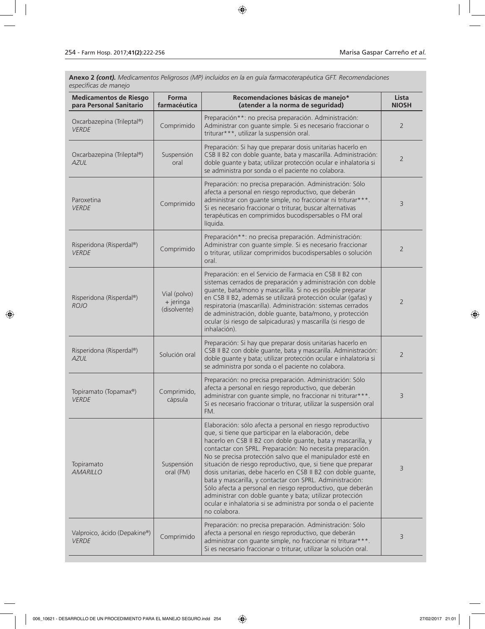**Anexo 2** *(cont). Medicamentos Peligrosos (MP) incluidos en la en guía farmacoterapéutica GFT. Recomendaciones específicas de manejo*

| <b>Medicamentos de Riesgo</b><br>para Personal Sanitario | Forma<br>farmacéutica                       | Recomendaciones básicas de manejo*<br>(atender a la norma de seguridad)                                                                                                                                                                                                                                                                                                                                                                                                                                                                                                                                                                                                                                            | Lista<br><b>NIOSH</b> |
|----------------------------------------------------------|---------------------------------------------|--------------------------------------------------------------------------------------------------------------------------------------------------------------------------------------------------------------------------------------------------------------------------------------------------------------------------------------------------------------------------------------------------------------------------------------------------------------------------------------------------------------------------------------------------------------------------------------------------------------------------------------------------------------------------------------------------------------------|-----------------------|
| Oxcarbazepina (Trileptal®)<br><b>VERDE</b>               | Comprimido                                  | Preparación**: no precisa preparación. Administración:<br>Administrar con guante simple. Si es necesario fraccionar o<br>triturar***, utilizar la suspensión oral.                                                                                                                                                                                                                                                                                                                                                                                                                                                                                                                                                 | $\overline{2}$        |
| Oxcarbazepina (Trileptal®)<br><b>AZUL</b>                | Suspensión<br>oral                          | Preparación: Si hay que preparar dosis unitarias hacerlo en<br>CSB II B2 con doble guante, bata y mascarilla. Administración:<br>doble guante y bata; utilizar protección ocular e inhalatoria si<br>se administra por sonda o el paciente no colabora.                                                                                                                                                                                                                                                                                                                                                                                                                                                            | $\overline{2}$        |
| Paroxetina<br><b>VERDE</b>                               | Comprimido                                  | Preparación: no precisa preparación. Administración: Sólo<br>afecta a personal en riesgo reproductivo, que deberán<br>administrar con guante simple, no fraccionar ni triturar***.<br>Si es necesario fraccionar o triturar, buscar alternativas<br>terapéuticas en comprimidos bucodispersables o FM oral<br>líquida.                                                                                                                                                                                                                                                                                                                                                                                             | 3                     |
| Risperidona (Risperdal®)<br><b>VERDE</b>                 | Comprimido                                  | Preparación**: no precisa preparación. Administración:<br>Administrar con guante simple. Si es necesario fraccionar<br>o triturar, utilizar comprimidos bucodispersables o solución<br>oral.                                                                                                                                                                                                                                                                                                                                                                                                                                                                                                                       | $\overline{2}$        |
| Risperidona (Risperdal®)<br><b>ROJO</b>                  | Vial (polvo)<br>$+$ jeringa<br>(disolvente) | Preparación: en el Servicio de Farmacia en CSB II B2 con<br>sistemas cerrados de preparación y administración con doble<br>guante, bata/mono y mascarilla. Si no es posible preparar<br>en CSB II B2, además se utilizará protección ocular (gafas) y<br>respiratoria (mascarilla). Administración: sistemas cerrados<br>de administración, doble guante, bata/mono, y protección<br>ocular (si riesgo de salpicaduras) y mascarilla (si riesgo de<br>inhalación).                                                                                                                                                                                                                                                 | 2                     |
| Risperidona (Risperdal®)<br><b>AZUL</b>                  | Solución oral                               | Preparación: Si hay que preparar dosis unitarias hacerlo en<br>CSB II B2 con doble guante, bata y mascarilla. Administración:<br>doble guante y bata; utilizar protección ocular e inhalatoria si<br>se administra por sonda o el paciente no colabora.                                                                                                                                                                                                                                                                                                                                                                                                                                                            | $\overline{2}$        |
| Topiramato (Topamax®)<br><b>VERDE</b>                    | Comprimido,<br>cápsula                      | Preparación: no precisa preparación. Administración: Sólo<br>afecta a personal en riesgo reproductivo, que deberán<br>administrar con guante simple, no fraccionar ni triturar***.<br>Si es necesario fraccionar o triturar, utilizar la suspensión oral<br>FM.                                                                                                                                                                                                                                                                                                                                                                                                                                                    | 3                     |
| Topiramato<br><b>AMARILLO</b>                            | Suspensión<br>oral (FM)                     | Elaboración: sólo afecta a personal en riesgo reproductivo<br>que, si tiene que participar en la elaboración, debe<br>hacerlo en CSB II B2 con doble guante, bata y mascarilla, y<br>contactar con SPRL. Preparación: No necesita preparación.<br>No se precisa protección salvo que el manipulador esté en<br>situación de riesgo reproductivo, que, si tiene que preparar<br>dosis unitarias, debe hacerlo en CSB II B2 con doble guante,<br>bata y mascarilla, y contactar con SPRL. Administración:<br>Sólo afecta a personal en riesgo reproductivo, que deberán<br>administrar con doble quante y bata; utilizar protección<br>ocular e inhalatoria si se administra por sonda o el paciente<br>no colabora. | 3                     |
| Valproico, ácido (Depakine®)<br><b>VERDE</b>             | Comprimido                                  | Preparación: no precisa preparación. Administración: Sólo<br>afecta a personal en riesgo reproductivo, que deberán<br>administrar con guante simple, no fraccionar ni triturar***.<br>Si es necesario fraccionar o triturar, utilizar la solución oral.                                                                                                                                                                                                                                                                                                                                                                                                                                                            | 3                     |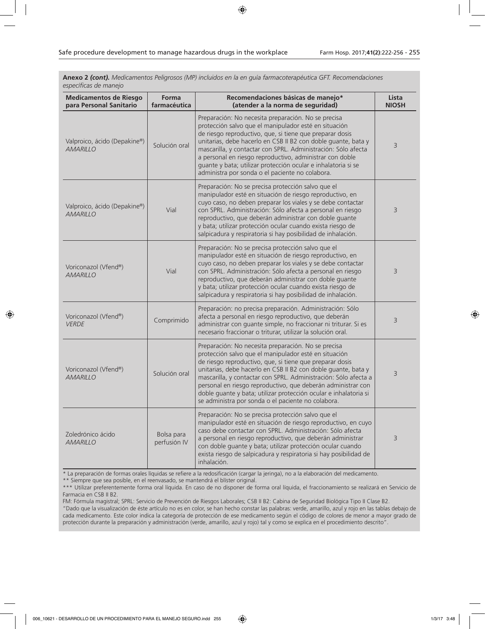**Anexo 2** *(cont). Medicamentos Peligrosos (MP) incluidos en la en guía farmacoterapéutica GFT. Recomendaciones específicas de manejo*

| <b>Medicamentos de Riesgo</b><br>para Personal Sanitario | Forma<br>farmacéutica      | Recomendaciones básicas de manejo*<br>(atender a la norma de seguridad)                                                                                                                                                                                                                                                                                                                                                                                                                                | Lista<br><b>NIOSH</b> |
|----------------------------------------------------------|----------------------------|--------------------------------------------------------------------------------------------------------------------------------------------------------------------------------------------------------------------------------------------------------------------------------------------------------------------------------------------------------------------------------------------------------------------------------------------------------------------------------------------------------|-----------------------|
| Valproico, ácido (Depakine®)<br><b>AMARILLO</b>          | Solución oral              | Preparación: No necesita preparación. No se precisa<br>protección salvo que el manipulador esté en situación<br>de riesgo reproductivo, que, si tiene que preparar dosis<br>unitarias, debe hacerlo en CSB II B2 con doble quante, bata y<br>mascarilla, y contactar con SPRL. Administración: Sólo afecta<br>a personal en riesgo reproductivo, administrar con doble<br>quante y bata; utilizar protección ocular e inhalatoria si se<br>administra por sonda o el paciente no colabora.             | 3                     |
| Valproico, ácido (Depakine®)<br><b>AMARILLO</b>          | Vial                       | Preparación: No se precisa protección salvo que el<br>manipulador esté en situación de riesgo reproductivo, en<br>cuyo caso, no deben preparar los viales y se debe contactar<br>con SPRL. Administración: Sólo afecta a personal en riesgo<br>reproductivo, que deberán administrar con doble quante<br>y bata; utilizar protección ocular cuando exista riesgo de<br>salpicadura y respiratoria si hay posibilidad de inhalación.                                                                    | 3                     |
| Voriconazol (Vfend®)<br><b>AMARILLO</b>                  | Vial                       | Preparación: No se precisa protección salvo que el<br>manipulador esté en situación de riesgo reproductivo, en<br>cuyo caso, no deben preparar los viales y se debe contactar<br>con SPRL. Administración: Sólo afecta a personal en riesgo<br>reproductivo, que deberán administrar con doble guante<br>y bata; utilizar protección ocular cuando exista riesgo de<br>salpicadura y respiratoria si hay posibilidad de inhalación.                                                                    | 3                     |
| Voriconazol (Vfend®)<br><b>VFRDF</b>                     | Comprimido                 | Preparación: no precisa preparación. Administración: Sólo<br>afecta a personal en riesgo reproductivo, que deberán<br>administrar con guante simple, no fraccionar ni triturar. Si es<br>necesario fraccionar o triturar, utilizar la solución oral.                                                                                                                                                                                                                                                   | 3                     |
| Voriconazol (Vfend®)<br><b>AMARILLO</b>                  | Solución oral              | Preparación: No necesita preparación. No se precisa<br>protección salvo que el manipulador esté en situación<br>de riesgo reproductivo, que, si tiene que preparar dosis<br>unitarias, debe hacerlo en CSB II B2 con doble quante, bata y<br>mascarilla, y contactar con SPRL. Administración: Sólo afecta a<br>personal en riesgo reproductivo, que deberán administrar con<br>doble guante y bata; utilizar protección ocular e inhalatoria si<br>se administra por sonda o el paciente no colabora. | 3                     |
| Zoledrónico ácido<br><b>AMARILLO</b>                     | Bolsa para<br>perfusión IV | Preparación: No se precisa protección salvo que el<br>manipulador esté en situación de riesgo reproductivo, en cuyo<br>caso debe contactar con SPRL. Administración: Sólo afecta<br>a personal en riesgo reproductivo, que deberán administrar<br>con doble guante y bata; utilizar protección ocular cuando<br>exista riesgo de salpicadura y respiratoria si hay posibilidad de<br>inhalación.                                                                                                       | 3                     |

\* La preparación de formas orales líquidas se refiere a la redosificación (cargar la jeringa), no a la elaboración del medicamento.

\*\* Siempre que sea posible, en el reenvasado, se mantendrá el blíster original.

\*\*\* Utilizar preferentemente forma oral líquida. En caso de no disponer de forma oral líquida, el fraccionamiento se realizará en Servicio de Farmacia en CSB II B2.

FM: Fórmula magistral; SPRL: Servicio de Prevención de Riesgos Laborales; CSB II B2: Cabina de Seguridad Biológica Tipo II Clase B2.

"Dado que la visualización de éste artículo no es en color, se han hecho constar las palabras: verde, amarillo, azul y rojo en las tablas debajo de cada medicamento. Este color indica la categoría de protección de ese medicamento según el código de colores de menor a mayor grado de protección durante la preparación y administración (verde, amarillo, azul y rojo) tal y como se explica en el procedimiento descrito".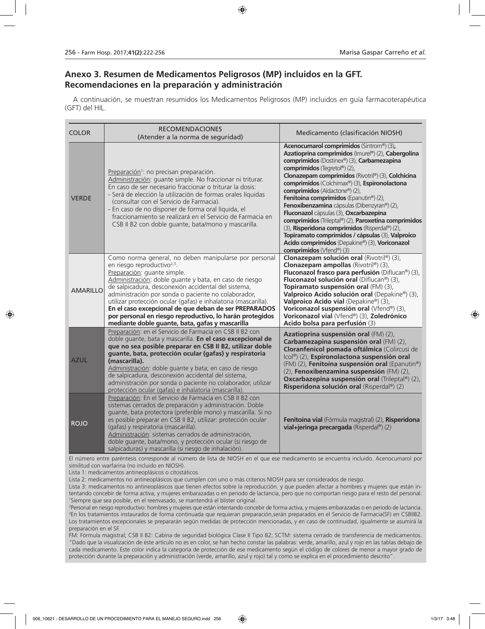# **Anexo 3. Resumen de Medicamentos Peligrosos (MP) incluidos en la GFT. Recomendaciones en la preparación y administración**

A continuación, se muestran resumidos los Medicamentos Peligrosos (MP) incluidos en guía farmacoterapéutica (GFT) del HIL.

| <b>COLOR</b>    | <b>RECOMENDACIONES</b><br>(Atender a la norma de seguridad)                                                                                                                                                                                                                                                                                                                                                                                                                                                                                       | Medicamento (clasificación NIOSH)                                                                                                                                                                                                                                                                                                                                                                                                                                                                                                                                                                                                                                                                   |
|-----------------|---------------------------------------------------------------------------------------------------------------------------------------------------------------------------------------------------------------------------------------------------------------------------------------------------------------------------------------------------------------------------------------------------------------------------------------------------------------------------------------------------------------------------------------------------|-----------------------------------------------------------------------------------------------------------------------------------------------------------------------------------------------------------------------------------------------------------------------------------------------------------------------------------------------------------------------------------------------------------------------------------------------------------------------------------------------------------------------------------------------------------------------------------------------------------------------------------------------------------------------------------------------------|
| <b>VERDE</b>    | Preparación <sup>1</sup> : no precisan preparación.<br>Administración: quante simple. No fraccionar ni triturar.<br>En caso de ser necesario fraccionar o triturar la dosis:<br>- Será de elección la utilización de formas orales líquidas<br>(consultar con el Servicio de Farmacia).<br>- En caso de no disponer de forma oral líquida, el<br>fraccionamiento se realizará en el Servicio de Farmacia en<br>CSB II B2 con doble quante, bata/mono y mascarilla.                                                                                | Acenocumarol comprimidos (Sintrom®) (3),<br>Azatioprina comprimidos (Imurel®) (2), Cabergolina<br>comprimidos (Dostinex®) (3), Carbamezapina<br>comprimidos (Tegretol®) (2),<br>Clonazepam comprimidos (Rivotril®) (3), Colchicina<br>comprimidos (Colchimax®) (3), Espironolactona<br>comprimidos (Aldactone®) (2),<br>Fenitoina comprimidos (Epanutin®) (2),<br>Fenoxibenzamina cápsulas (Dibenzyran®) (2),<br>Fluconazol cápsulas (3), Oxcarbazepina<br>comprimidos (Trileptal®) (2), Paroxetina comprimidos<br>(3), Risperidona comprimidos (Risperdal®) (2),<br>Topiramato comprimidos / cápsulas (3), Valproico<br>Acido comprimidos (Depakine®) (3), Voriconazol<br>comprimidos (Vfend®) (3) |
| <b>AMARILLO</b> | Como norma general, no deben manipularse por personal<br>en riesgo reproductivo <sup>2,3</sup> .<br>Preparación: quante simple.<br>Administración: doble guante y bata, en caso de riesgo<br>de salpicadura, desconexión accidental del sistema,<br>administración por sonda o paciente no colaborador,<br>utilizar protección ocular (gafas) e inhalatoria (mascarilla).<br>En el caso excepcional de que deban de ser PREPARADOS<br>por personal en riesgo reproductivo, lo harán protegidos<br>mediante doble guante, bata, gafas y mascarilla | Clonazepam solución oral (Rivotril®) (3),<br>Clonazepam ampollas (Rivotril®) (3),<br>Fluconazol frasco para perfusión (Diflucan®) (3),<br>Fluconazol solución oral (Diflucan®) (3),<br>Topiramato suspensión oral (FM) (3),<br>Valproico Acido solución oral (Depakine®) (3),<br>Valproico Acido vial (Depakine®) (3),<br>Voriconazol suspensión oral (Vfend®) (3),<br>Voriconazol vial (Vfend®) (3), Zoledrónico<br>Acido bolsa para perfusión (3)                                                                                                                                                                                                                                                 |
| <b>AZUL</b>     | Preparación: en el Servicio de Farmacia en CSB II B2 con<br>doble guante, bata y mascarilla. En el caso excepcional de<br>que no sea posible preparar en CSB II B2, utilizar doble<br>guante, bata, protección ocular (gafas) y respiratoria<br>(mascarilla).<br>Administración: doble quante y bata; en caso de riesgo<br>de salpicadura, desconexión accidental del sistema,<br>administración por sonda o paciente no colaborador, utilizar<br>protección ocular (gafas) e inhalatoria (mascarilla).                                           | Azatioprina suspensión oral (FM) (2),<br>Carbamezapina suspensión oral (FM) (2),<br>Cloranfenicol pomada oftálmica (Colircusi de<br>Icol®) (2), Espironolactona suspensión oral<br>(FM) (2), Fenitoina suspensión oral (Epanutin®)<br>(2), Fenoxibenzamina suspensión (FM) (2),<br><b>Oxcarbazepina suspensión oral</b> (Trileptal®) (2),<br>Risperidona solución oral (Risperdal®) (2)                                                                                                                                                                                                                                                                                                             |
| <b>ROJO</b>     | Preparación: En el Servicio de Farmacia en CSB II B2 con<br>sistemas cerrados de preparación y administración. Doble<br>guante, bata protectora (preferible mono) y mascarilla. Si no<br>es posible preparar en CSB II B2, utilizar: protección ocular<br>(gafas) y respiratoria (mascarilla).<br>Administración: sistemas cerrados de administración,<br>doble guante, bata/mono, y protección ocular (si riesgo de<br>salpicaduras) y mascarilla (si riesgo de inhalación).                                                                     | Fenitoína vial (Fórmula magistral) (2), Risperidona<br>vial+jeringa precargada (Risperdal®) (2)                                                                                                                                                                                                                                                                                                                                                                                                                                                                                                                                                                                                     |

El número entre paréntesis corresponde al número de lista de NIOSH en el que ese medicamento se encuentra incluido. Acenocumarol por similitud con warfarina (no incluido en NIOSH).

Lista 1: medicamentos antineoplásicos o citostáticos.

Lista 2: medicamentos no antineoplásicos que cumplen con uno o más criterios NIOSH para ser considerados de riesgo.

Lista 3: medicamentos no antineoplásicos que tienen efectos sobre la reproducción. y que pueden afectar a hombres y mujeres que están intentando concebir de forma activa, y mujeres embarazadas o en periodo de lactancia, pero que no comportan riesgo para el resto del personal. 1 Siempre que sea posible, en el reenvasado, se mantendrá el blíster original.

2 Personal en riesgo reproductivo: hombres y mujeres que están intentando concebir de forma activa, y mujeres embarazadas o en periodo de lactancia. 3 En los tratamientos instaurados de forma continuada que requieran preparación,serán preparados en el Servicio de Farmacia(SF) en CSBIIB2. Los tratamientos excepcionales se prepararán según medidas de protección mencionadas, y en caso de continuidad, igualmente se asumirá la preparación en el SF.

FM: Fórmula magistral; CSB II B2: Cabina de seguridad biológica Clase II Tipo B2; SCTM: sistema cerrado de transferencia de medicamentos. "Dado que la visualización de éste artículo no es en color, se han hecho constar las palabras: verde, amarillo, azul y rojo en las tablas debajo de cada medicamento. Este color indica la categoría de protección de ese medicamento según el código de colores de menor a mayor grado de protección durante la preparación y administración (verde, amarillo, azul y rojo) tal y como se explica en el procedimiento descrito".